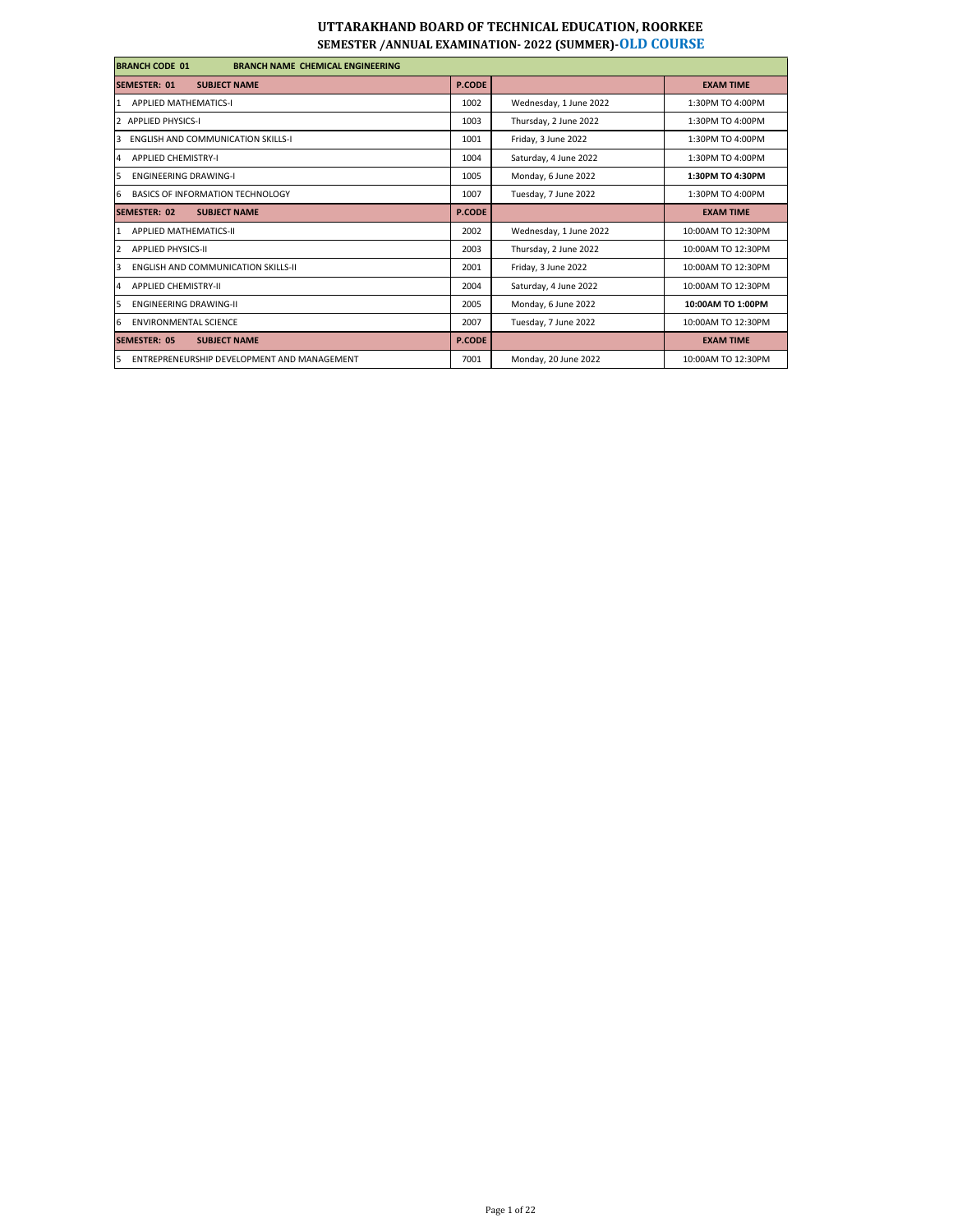| <b>BRANCH CODE 01</b><br><b>BRANCH NAME CHEMICAL ENGINEERING</b> |               |                        |                    |
|------------------------------------------------------------------|---------------|------------------------|--------------------|
| <b>SUBJECT NAME</b><br><b>SEMESTER: 01</b>                       | <b>P.CODE</b> |                        | <b>EXAM TIME</b>   |
| <b>APPLIED MATHEMATICS-I</b><br>1                                | 1002          | Wednesday, 1 June 2022 | 1:30PM TO 4:00PM   |
| <b>APPLIED PHYSICS-I</b>                                         | 1003          | Thursday, 2 June 2022  | 1:30PM TO 4:00PM   |
| <b>ENGLISH AND COMMUNICATION SKILLS-I</b><br>3                   | 1001          | Friday, 3 June 2022    | 1:30PM TO 4:00PM   |
| <b>APPLIED CHEMISTRY-I</b><br>Δ                                  | 1004          | Saturday, 4 June 2022  | 1:30PM TO 4:00PM   |
| <b>ENGINEERING DRAWING-I</b><br>5                                | 1005          | Monday, 6 June 2022    | 1:30PM TO 4:30PM   |
| 6<br>BASICS OF INFORMATION TECHNOLOGY                            | 1007          | Tuesday, 7 June 2022   | 1:30PM TO 4:00PM   |
| <b>SEMESTER: 02</b><br><b>SUBJECT NAME</b>                       | <b>P.CODE</b> |                        | <b>EXAM TIME</b>   |
| <b>APPLIED MATHEMATICS-II</b>                                    | 2002          | Wednesday, 1 June 2022 | 10:00AM TO 12:30PM |
| <b>APPLIED PHYSICS-II</b><br>2                                   | 2003          | Thursday, 2 June 2022  | 10:00AM TO 12:30PM |
| <b>ENGLISH AND COMMUNICATION SKILLS-II</b><br>$\overline{3}$     | 2001          | Friday, 3 June 2022    | 10:00AM TO 12:30PM |
| <b>APPLIED CHEMISTRY-II</b><br>Δ                                 | 2004          | Saturday, 4 June 2022  | 10:00AM TO 12:30PM |
| <b>FNGINFERING DRAWING-II</b><br>5                               | 2005          | Monday, 6 June 2022    | 10:00AM TO 1:00PM  |
| <b>ENVIRONMENTAL SCIENCE</b><br>6                                | 2007          | Tuesday, 7 June 2022   | 10:00AM TO 12:30PM |
| <b>SEMESTER: 05</b><br><b>SUBJECT NAME</b>                       | <b>P.CODE</b> |                        | <b>EXAM TIME</b>   |
| 5<br>ENTREPRENEURSHIP DEVELOPMENT AND MANAGEMENT                 | 7001          | Monday, 20 June 2022   | 10:00AM TO 12:30PM |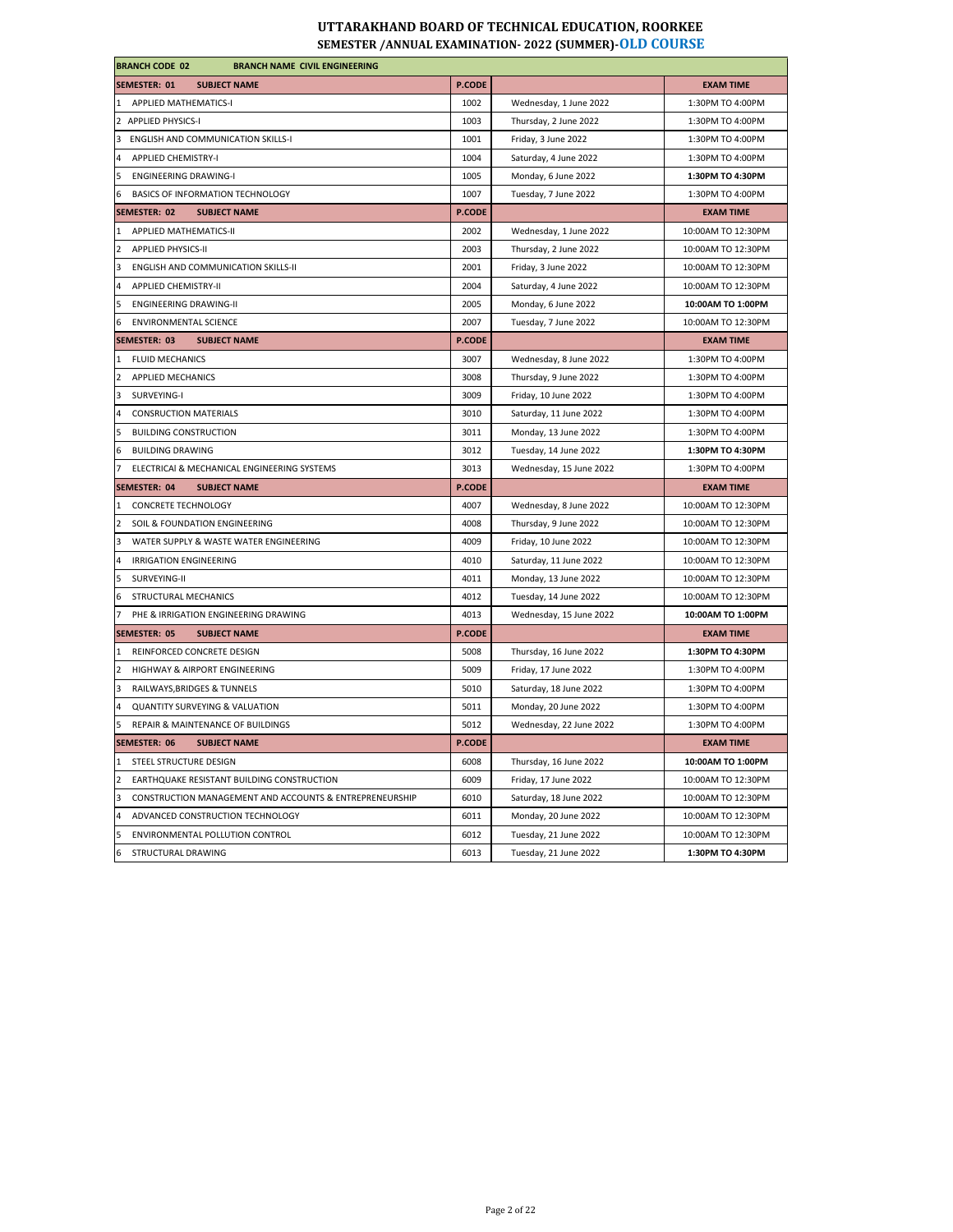| <b>BRANCH CODE 02</b><br><b>BRANCH NAME CIVIL ENGINEERING</b>                  |               |                         |                    |  |
|--------------------------------------------------------------------------------|---------------|-------------------------|--------------------|--|
| <b>SEMESTER: 01</b><br><b>SUBJECT NAME</b>                                     | <b>P.CODE</b> |                         | <b>EXAM TIME</b>   |  |
| 1 APPLIED MATHEMATICS-I                                                        | 1002          | Wednesday, 1 June 2022  | 1:30PM TO 4:00PM   |  |
| 2 APPLIED PHYSICS-I                                                            | 1003          | Thursday, 2 June 2022   | 1:30PM TO 4:00PM   |  |
| 3 ENGLISH AND COMMUNICATION SKILLS-I                                           | 1001          | Friday, 3 June 2022     | 1:30PM TO 4:00PM   |  |
| <b>APPLIED CHEMISTRY-I</b><br>4                                                | 1004          | Saturday, 4 June 2022   | 1:30PM TO 4:00PM   |  |
| 5 ENGINEERING DRAWING-I                                                        | 1005          | Monday, 6 June 2022     | 1:30PM TO 4:30PM   |  |
| BASICS OF INFORMATION TECHNOLOGY<br>6.                                         | 1007          | Tuesday, 7 June 2022    | 1:30PM TO 4:00PM   |  |
| SEMESTER: 02<br><b>SUBJECT NAME</b>                                            | <b>P.CODE</b> |                         | <b>EXAM TIME</b>   |  |
| APPLIED MATHEMATICS-II<br>$\mathbf{1}$                                         | 2002          | Wednesday, 1 June 2022  | 10:00AM TO 12:30PM |  |
| <b>APPLIED PHYSICS-II</b><br>$\mathcal{P}$                                     | 2003          | Thursday, 2 June 2022   | 10:00AM TO 12:30PM |  |
| 3<br>ENGLISH AND COMMUNICATION SKILLS-II                                       | 2001          | Friday, 3 June 2022     | 10:00AM TO 12:30PM |  |
| <b>APPLIED CHEMISTRY-II</b><br>4                                               | 2004          | Saturday, 4 June 2022   | 10:00AM TO 12:30PM |  |
| 5<br><b>ENGINEERING DRAWING-II</b>                                             | 2005          | Monday, 6 June 2022     | 10:00AM TO 1:00PM  |  |
| <b>ENVIRONMENTAL SCIENCE</b><br>6                                              | 2007          | Tuesday, 7 June 2022    | 10:00AM TO 12:30PM |  |
| <b>SEMESTER: 03</b><br><b>SUBJECT NAME</b>                                     | P.CODE        |                         | <b>EXAM TIME</b>   |  |
| 1 FLUID MECHANICS                                                              | 3007          | Wednesday, 8 June 2022  | 1:30PM TO 4:00PM   |  |
| <b>APPLIED MECHANICS</b><br>$\overline{2}$                                     | 3008          | Thursday, 9 June 2022   | 1:30PM TO 4:00PM   |  |
| 3<br>SURVEYING-I                                                               | 3009          | Friday, 10 June 2022    | 1:30PM TO 4:00PM   |  |
| <b>CONSRUCTION MATERIALS</b><br>4                                              | 3010          | Saturday, 11 June 2022  | 1:30PM TO 4:00PM   |  |
| 5<br><b>BUILDING CONSTRUCTION</b>                                              | 3011          | Monday, 13 June 2022    | 1:30PM TO 4:00PM   |  |
| <b>BUILDING DRAWING</b><br>6                                                   | 3012          | Tuesday, 14 June 2022   | 1:30PM TO 4:30PM   |  |
| $\overline{7}$<br>ELECTRICAI & MECHANICAL ENGINEERING SYSTEMS                  | 3013          | Wednesday, 15 June 2022 | 1:30PM TO 4:00PM   |  |
| <b>SEMESTER: 04</b><br><b>SUBJECT NAME</b>                                     | <b>P.CODE</b> |                         | <b>EXAM TIME</b>   |  |
| 1 CONCRETE TECHNOLOGY                                                          | 4007          | Wednesday, 8 June 2022  | 10:00AM TO 12:30PM |  |
| SOIL & FOUNDATION ENGINEERING<br>$\overline{2}$                                | 4008          | Thursday, 9 June 2022   | 10:00AM TO 12:30PM |  |
| 3<br>WATER SUPPLY & WASTE WATER ENGINEERING                                    | 4009          | Friday, 10 June 2022    | 10:00AM TO 12:30PM |  |
| <b>IRRIGATION ENGINEERING</b><br>4                                             | 4010          | Saturday, 11 June 2022  | 10:00AM TO 12:30PM |  |
| 5<br>SURVEYING-II                                                              | 4011          | Monday, 13 June 2022    | 10:00AM TO 12:30PM |  |
| STRUCTURAL MECHANICS<br>6                                                      | 4012          | Tuesday, 14 June 2022   | 10:00AM TO 12:30PM |  |
| PHE & IRRIGATION ENGINEERING DRAWING                                           | 4013          | Wednesday, 15 June 2022 | 10:00AM TO 1:00PM  |  |
| <b>SEMESTER: 05</b><br><b>SUBJECT NAME</b>                                     | <b>P.CODE</b> |                         | <b>EXAM TIME</b>   |  |
| REINFORCED CONCRETE DESIGN<br>$\mathbf{1}$                                     | 5008          | Thursday, 16 June 2022  | 1:30PM TO 4:30PM   |  |
| HIGHWAY & AIRPORT ENGINEERING<br>2                                             | 5009          | Friday, 17 June 2022    | 1:30PM TO 4:00PM   |  |
| 3<br>RAILWAYS, BRIDGES & TUNNELS                                               | 5010          | Saturday, 18 June 2022  | 1:30PM TO 4:00PM   |  |
| <b>QUANTITY SURVEYING &amp; VALUATION</b><br>4                                 | 5011          | Monday, 20 June 2022    | 1:30PM TO 4:00PM   |  |
| REPAIR & MAINTENANCE OF BUILDINGS<br>5                                         | 5012          | Wednesday, 22 June 2022 | 1:30PM TO 4:00PM   |  |
| <b>SEMESTER: 06</b><br><b>SUBJECT NAME</b>                                     | <b>P.CODE</b> |                         | <b>EXAM TIME</b>   |  |
| $\mathbf{1}$<br>STEEL STRUCTURE DESIGN                                         | 6008          | Thursday, 16 June 2022  | 10:00AM TO 1:00PM  |  |
|                                                                                |               | Friday, 17 June 2022    | 10:00AM TO 12:30PM |  |
| EARTHQUAKE RESISTANT BUILDING CONSTRUCTION                                     | 6009          |                         |                    |  |
| $\overline{2}$<br>CONSTRUCTION MANAGEMENT AND ACCOUNTS & ENTREPRENEURSHIP<br>3 | 6010          | Saturday, 18 June 2022  | 10:00AM TO 12:30PM |  |
| ADVANCED CONSTRUCTION TECHNOLOGY                                               | 6011          | Monday, 20 June 2022    | 10:00AM TO 12:30PM |  |
| 4<br>5<br>ENVIRONMENTAL POLLUTION CONTROL                                      | 6012          | Tuesday, 21 June 2022   | 10:00AM TO 12:30PM |  |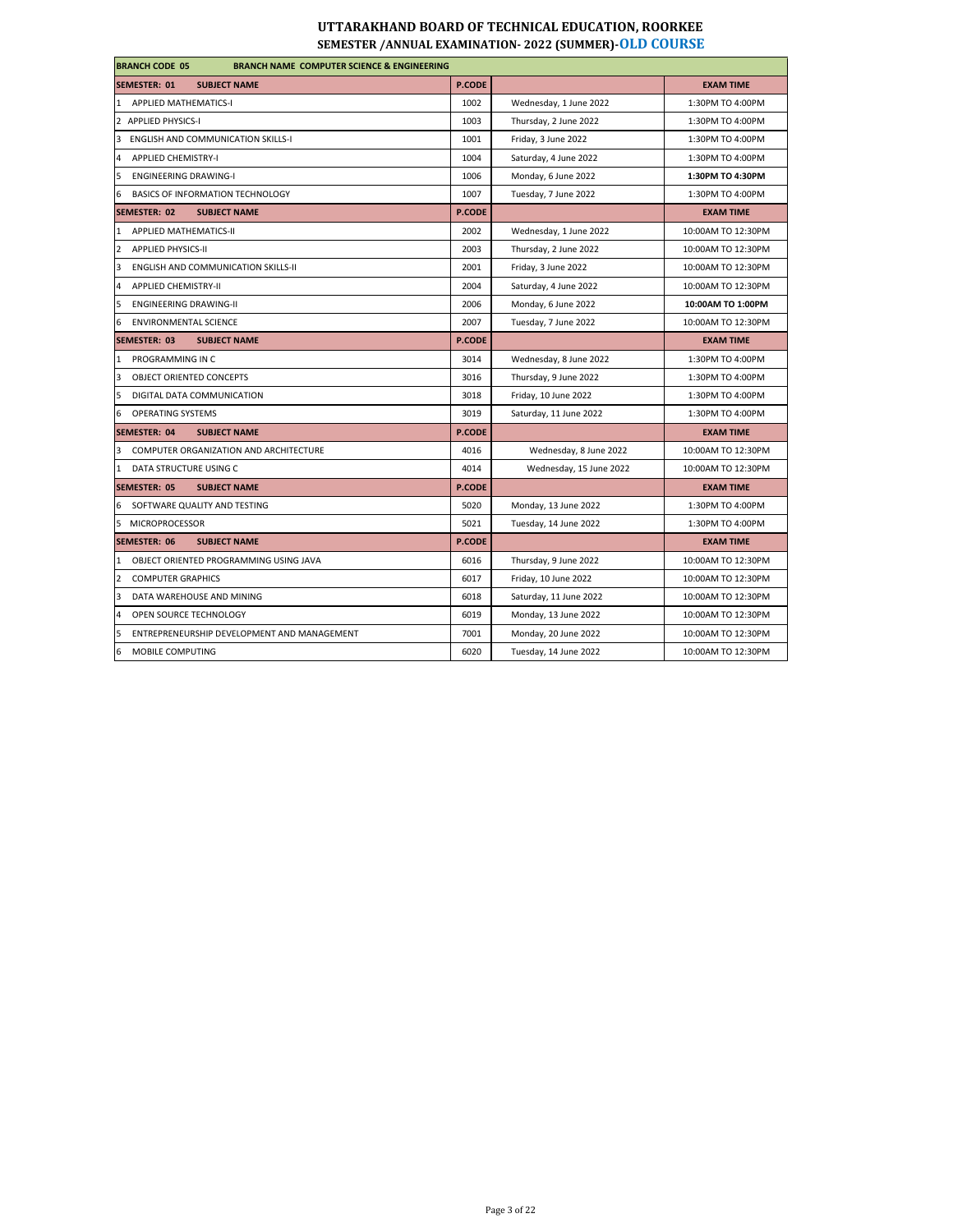| <b>BRANCH CODE 05</b><br><b>BRANCH NAME COMPUTER SCIENCE &amp; ENGINEERING</b> |               |                         |                    |  |
|--------------------------------------------------------------------------------|---------------|-------------------------|--------------------|--|
| <b>SEMESTER: 01</b><br><b>SUBJECT NAME</b>                                     | <b>P.CODE</b> |                         | <b>EXAM TIME</b>   |  |
| 1 APPLIED MATHEMATICS-I                                                        | 1002          | Wednesday, 1 June 2022  | 1:30PM TO 4:00PM   |  |
| 2 APPLIED PHYSICS-I                                                            | 1003          | Thursday, 2 June 2022   | 1:30PM TO 4:00PM   |  |
| 3<br><b>ENGLISH AND COMMUNICATION SKILLS-I</b>                                 | 1001          | Friday, 3 June 2022     | 1:30PM TO 4:00PM   |  |
| $\overline{4}$<br><b>APPLIED CHEMISTRY-I</b>                                   | 1004          | Saturday, 4 June 2022   | 1:30PM TO 4:00PM   |  |
| 5<br><b>ENGINEERING DRAWING-I</b>                                              | 1006          | Monday, 6 June 2022     | 1:30PM TO 4:30PM   |  |
| 6<br>BASICS OF INFORMATION TECHNOLOGY                                          | 1007          | Tuesday, 7 June 2022    | 1:30PM TO 4:00PM   |  |
| <b>SEMESTER: 02</b><br><b>SUBJECT NAME</b>                                     | <b>P.CODE</b> |                         | <b>EXAM TIME</b>   |  |
| APPLIED MATHEMATICS-II<br>$\mathbf{1}$                                         | 2002          | Wednesday, 1 June 2022  | 10:00AM TO 12:30PM |  |
| $\overline{2}$<br><b>APPLIED PHYSICS-II</b>                                    | 2003          | Thursday, 2 June 2022   | 10:00AM TO 12:30PM |  |
| 3<br><b>ENGLISH AND COMMUNICATION SKILLS-II</b>                                | 2001          | Friday, 3 June 2022     | 10:00AM TO 12:30PM |  |
| $\overline{4}$<br><b>APPLIED CHEMISTRY-II</b>                                  | 2004          | Saturday, 4 June 2022   | 10:00AM TO 12:30PM |  |
| 5<br><b>ENGINEERING DRAWING-II</b>                                             | 2006          | Monday, 6 June 2022     | 10:00AM TO 1:00PM  |  |
| 6<br><b>ENVIRONMENTAL SCIENCE</b>                                              | 2007          | Tuesday, 7 June 2022    | 10:00AM TO 12:30PM |  |
| <b>SEMESTER: 03</b><br><b>SUBJECT NAME</b>                                     | <b>P.CODE</b> |                         | <b>EXAM TIME</b>   |  |
| PROGRAMMING IN C<br>1                                                          | 3014          | Wednesday, 8 June 2022  | 1:30PM TO 4:00PM   |  |
| $\overline{3}$<br><b>OBJECT ORIENTED CONCEPTS</b>                              | 3016          | Thursday, 9 June 2022   | 1:30PM TO 4:00PM   |  |
| 5<br>DIGITAL DATA COMMUNICATION                                                | 3018          | Friday, 10 June 2022    | 1:30PM TO 4:00PM   |  |
| 6<br><b>OPERATING SYSTEMS</b>                                                  | 3019          | Saturday, 11 June 2022  | 1:30PM TO 4:00PM   |  |
| <b>SEMESTER: 04</b><br><b>SUBJECT NAME</b>                                     | <b>P.CODE</b> |                         | <b>EXAM TIME</b>   |  |
| COMPUTER ORGANIZATION AND ARCHITECTURE<br>3                                    | 4016          | Wednesday, 8 June 2022  | 10:00AM TO 12:30PM |  |
| $\mathbf{1}$<br>DATA STRUCTURE USING C                                         | 4014          | Wednesday, 15 June 2022 | 10:00AM TO 12:30PM |  |
| <b>SEMESTER: 05</b><br><b>SUBJECT NAME</b>                                     | <b>P.CODE</b> |                         | <b>EXAM TIME</b>   |  |
| 6<br>SOFTWARE QUALITY AND TESTING                                              | 5020          | Monday, 13 June 2022    | 1:30PM TO 4:00PM   |  |
| 5<br><b>MICROPROCESSOR</b>                                                     | 5021          | Tuesday, 14 June 2022   | 1:30PM TO 4:00PM   |  |
| <b>SEMESTER: 06</b><br><b>SUBJECT NAME</b>                                     | <b>P.CODE</b> |                         | <b>EXAM TIME</b>   |  |
| $\mathbf{1}$<br>OBJECT ORIENTED PROGRAMMING USING JAVA                         | 6016          | Thursday, 9 June 2022   | 10:00AM TO 12:30PM |  |
| $\overline{2}$<br><b>COMPUTER GRAPHICS</b>                                     | 6017          | Friday, 10 June 2022    | 10:00AM TO 12:30PM |  |
| 3<br>DATA WAREHOUSE AND MINING                                                 | 6018          | Saturday, 11 June 2022  | 10:00AM TO 12:30PM |  |
| OPEN SOURCE TECHNOLOGY<br>$\overline{a}$                                       | 6019          | Monday, 13 June 2022    | 10:00AM TO 12:30PM |  |
| 5<br>ENTREPRENEURSHIP DEVELOPMENT AND MANAGEMENT                               | 7001          | Monday, 20 June 2022    | 10:00AM TO 12:30PM |  |
| 6<br>MOBILE COMPUTING                                                          | 6020          | Tuesday, 14 June 2022   | 10:00AM TO 12:30PM |  |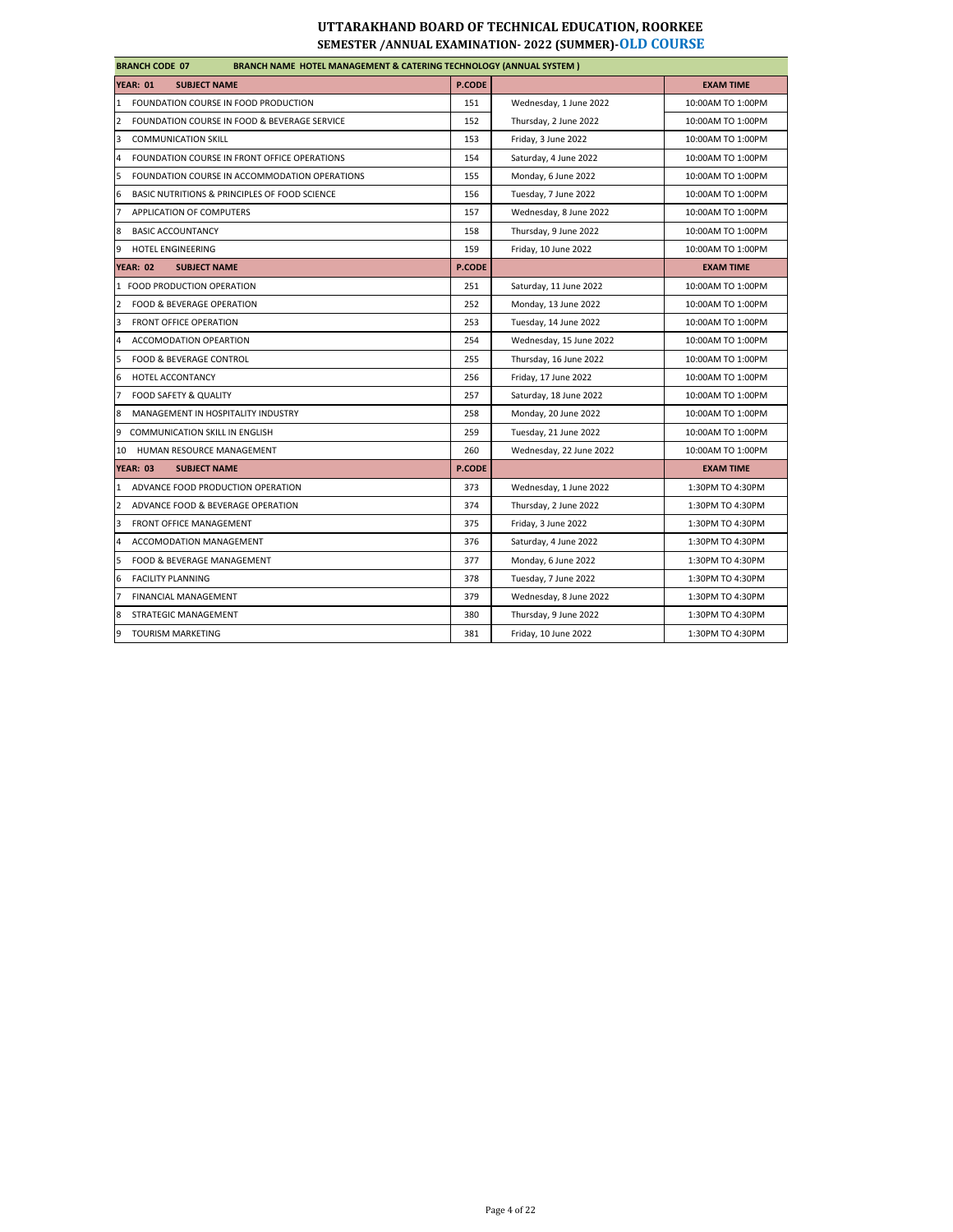| <b>BRANCH CODE 07</b><br><b>BRANCH NAME HOTEL MANAGEMENT &amp; CATERING TECHNOLOGY (ANNUAL SYSTEM)</b> |               |                         |                   |
|--------------------------------------------------------------------------------------------------------|---------------|-------------------------|-------------------|
| <b>YEAR: 01</b><br><b>SUBJECT NAME</b>                                                                 | P.CODE        |                         | <b>EXAM TIME</b>  |
| FOUNDATION COURSE IN FOOD PRODUCTION<br>$\mathbf{1}$                                                   | 151           | Wednesday, 1 June 2022  | 10:00AM TO 1:00PM |
| $\overline{2}$<br>FOUNDATION COURSE IN FOOD & BEVERAGE SERVICE                                         | 152           | Thursday, 2 June 2022   | 10:00AM TO 1:00PM |
| 3<br><b>COMMUNICATION SKILL</b>                                                                        | 153           | Friday, 3 June 2022     | 10:00AM TO 1:00PM |
| FOUNDATION COURSE IN FRONT OFFICE OPERATIONS<br>$\overline{4}$                                         | 154           | Saturday, 4 June 2022   | 10:00AM TO 1:00PM |
| 5<br>FOUNDATION COURSE IN ACCOMMODATION OPERATIONS                                                     | 155           | Monday, 6 June 2022     | 10:00AM TO 1:00PM |
| 6<br>BASIC NUTRITIONS & PRINCIPLES OF FOOD SCIENCE                                                     | 156           | Tuesday, 7 June 2022    | 10:00AM TO 1:00PM |
| $\overline{7}$<br>APPLICATION OF COMPUTERS                                                             | 157           | Wednesday, 8 June 2022  | 10:00AM TO 1:00PM |
| 8<br><b>BASIC ACCOUNTANCY</b>                                                                          | 158           | Thursday, 9 June 2022   | 10:00AM TO 1:00PM |
| 9<br>HOTEL ENGINEERING                                                                                 | 159           | Friday, 10 June 2022    | 10:00AM TO 1:00PM |
| <b>YEAR: 02</b><br><b>SUBJECT NAME</b>                                                                 | <b>P.CODE</b> |                         | <b>EXAM TIME</b>  |
| 1 FOOD PRODUCTION OPERATION                                                                            | 251           | Saturday, 11 June 2022  | 10:00AM TO 1:00PM |
| $\overline{2}$<br>FOOD & BEVERAGE OPERATION                                                            | 252           | Monday, 13 June 2022    | 10:00AM TO 1:00PM |
| 3<br><b>FRONT OFFICE OPERATION</b>                                                                     | 253           | Tuesday, 14 June 2022   | 10:00AM TO 1:00PM |
| 4<br>ACCOMODATION OPEARTION                                                                            | 254           | Wednesday, 15 June 2022 | 10:00AM TO 1:00PM |
| 5<br><b>FOOD &amp; BEVERAGE CONTROL</b>                                                                | 255           | Thursday, 16 June 2022  | 10:00AM TO 1:00PM |
| 6<br>HOTEL ACCONTANCY                                                                                  | 256           | Friday, 17 June 2022    | 10:00AM TO 1:00PM |
| $\overline{7}$<br>FOOD SAFETY & QUALITY                                                                | 257           | Saturday, 18 June 2022  | 10:00AM TO 1:00PM |
| 8<br>MANAGEMENT IN HOSPITALITY INDUSTRY                                                                | 258           | Monday, 20 June 2022    | 10:00AM TO 1:00PM |
| 9<br><b>COMMUNICATION SKILL IN ENGLISH</b>                                                             | 259           | Tuesday, 21 June 2022   | 10:00AM TO 1:00PM |
| HUMAN RESOURCE MANAGEMENT<br>10                                                                        | 260           | Wednesday, 22 June 2022 | 10:00AM TO 1:00PM |
| <b>YEAR: 03</b><br><b>SUBJECT NAME</b>                                                                 | <b>P.CODE</b> |                         | <b>EXAM TIME</b>  |
| $\mathbf{1}$<br>ADVANCE FOOD PRODUCTION OPERATION                                                      | 373           | Wednesday, 1 June 2022  | 1:30PM TO 4:30PM  |
| $\overline{2}$<br>ADVANCE FOOD & BEVERAGE OPERATION                                                    | 374           | Thursday, 2 June 2022   | 1:30PM TO 4:30PM  |
| $\overline{3}$<br>FRONT OFFICE MANAGEMENT                                                              | 375           | Friday, 3 June 2022     | 1:30PM TO 4:30PM  |
| 4<br>ACCOMODATION MANAGEMENT                                                                           | 376           | Saturday, 4 June 2022   | 1:30PM TO 4:30PM  |
| 5<br>FOOD & BEVERAGE MANAGEMENT                                                                        | 377           | Monday, 6 June 2022     | 1:30PM TO 4:30PM  |
| <b>FACILITY PLANNING</b><br>6                                                                          | 378           | Tuesday, 7 June 2022    | 1:30PM TO 4:30PM  |
| $\overline{7}$<br>FINANCIAL MANAGEMENT                                                                 | 379           | Wednesday, 8 June 2022  | 1:30PM TO 4:30PM  |
| 8<br>STRATEGIC MANAGEMENT                                                                              | 380           | Thursday, 9 June 2022   | 1:30PM TO 4:30PM  |
| 9<br><b>TOURISM MARKETING</b>                                                                          | 381           | Friday, 10 June 2022    | 1:30PM TO 4:30PM  |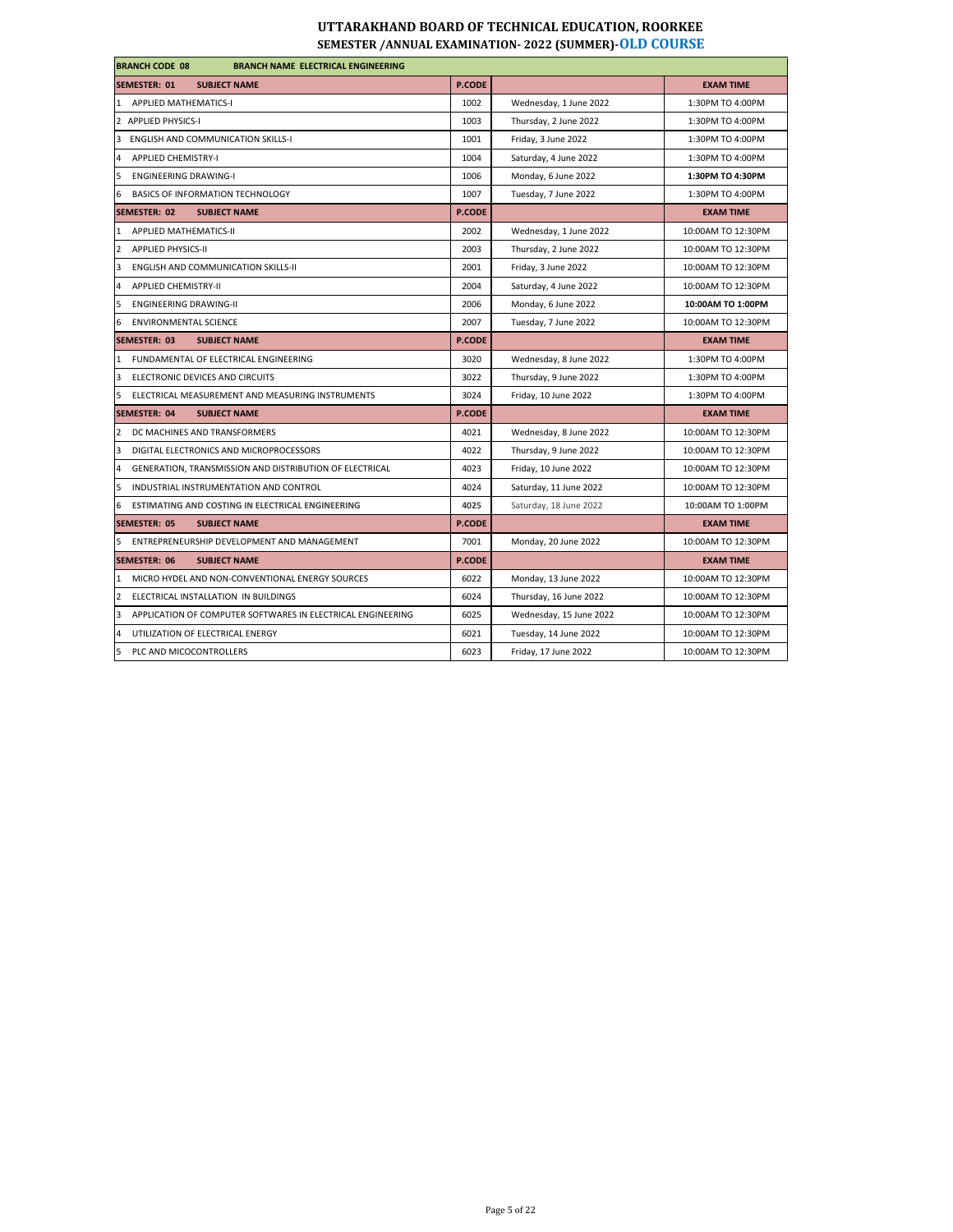| <b>BRANCH CODE 08</b><br><b>BRANCH NAME ELECTRICAL ENGINEERING</b> |               |                         |                    |  |
|--------------------------------------------------------------------|---------------|-------------------------|--------------------|--|
| <b>SEMESTER: 01</b><br><b>SUBJECT NAME</b>                         | P.CODE        |                         | <b>EXAM TIME</b>   |  |
| 1 APPLIED MATHEMATICS-I                                            | 1002          | Wednesday, 1 June 2022  | 1:30PM TO 4:00PM   |  |
| 2 APPLIED PHYSICS-I                                                | 1003          | Thursday, 2 June 2022   | 1:30PM TO 4:00PM   |  |
| 3<br><b>ENGLISH AND COMMUNICATION SKILLS-I</b>                     | 1001          | Friday, 3 June 2022     | 1:30PM TO 4:00PM   |  |
| <b>APPLIED CHEMISTRY-I</b>                                         | 1004          | Saturday, 4 June 2022   | 1:30PM TO 4:00PM   |  |
| 5<br><b>ENGINEERING DRAWING-I</b>                                  | 1006          | Monday, 6 June 2022     | 1:30PM TO 4:30PM   |  |
| <b>BASICS OF INFORMATION TECHNOLOGY</b><br>6                       | 1007          | Tuesday, 7 June 2022    | 1:30PM TO 4:00PM   |  |
| <b>SEMESTER: 02</b><br><b>SUBJECT NAME</b>                         | <b>P.CODE</b> |                         | <b>EXAM TIME</b>   |  |
| 1 APPLIED MATHEMATICS-II                                           | 2002          | Wednesday, 1 June 2022  | 10:00AM TO 12:30PM |  |
| $\overline{2}$<br>APPLIED PHYSICS-II                               | 2003          | Thursday, 2 June 2022   | 10:00AM TO 12:30PM |  |
| <b>ENGLISH AND COMMUNICATION SKILLS-II</b><br>3                    | 2001          | Friday, 3 June 2022     | 10:00AM TO 12:30PM |  |
| <b>APPLIED CHEMISTRY-II</b><br>4                                   | 2004          | Saturday, 4 June 2022   | 10:00AM TO 12:30PM |  |
| 5<br><b>ENGINEERING DRAWING-II</b>                                 | 2006          | Monday, 6 June 2022     | 10:00AM TO 1:00PM  |  |
| <b>ENVIRONMENTAL SCIENCE</b><br>6                                  | 2007          | Tuesday, 7 June 2022    | 10:00AM TO 12:30PM |  |
| <b>SEMESTER: 03</b><br><b>SUBJECT NAME</b>                         | <b>P.CODE</b> |                         | <b>EXAM TIME</b>   |  |
| 1 FUNDAMENTAL OF ELECTRICAL ENGINEERING                            | 3020          | Wednesday, 8 June 2022  | 1:30PM TO 4:00PM   |  |
| ELECTRONIC DEVICES AND CIRCUITS<br>3                               | 3022          | Thursday, 9 June 2022   | 1:30PM TO 4:00PM   |  |
| ELECTRICAL MEASUREMENT AND MEASURING INSTRUMENTS<br>5              | 3024          | Friday, 10 June 2022    | 1:30PM TO 4:00PM   |  |
| <b>SEMESTER: 04</b><br><b>SUBJECT NAME</b>                         | <b>P.CODE</b> |                         | <b>EXAM TIME</b>   |  |
| 2 DC MACHINES AND TRANSFORMERS                                     | 4021          | Wednesday, 8 June 2022  | 10:00AM TO 12:30PM |  |
| 3<br>DIGITAL ELECTRONICS AND MICROPROCESSORS                       | 4022          | Thursday, 9 June 2022   | 10:00AM TO 12:30PM |  |
| GENERATION, TRANSMISSION AND DISTRIBUTION OF ELECTRICAL<br>4       | 4023          | Friday, 10 June 2022    | 10:00AM TO 12:30PM |  |
| 5<br>INDUSTRIAL INSTRUMENTATION AND CONTROL                        | 4024          | Saturday, 11 June 2022  | 10:00AM TO 12:30PM |  |
| ESTIMATING AND COSTING IN ELECTRICAL ENGINEERING<br>6              | 4025          | Saturday, 18 June 2022  | 10:00AM TO 1:00PM  |  |
| <b>SEMESTER: 05</b><br><b>SUBJECT NAME</b>                         | P.CODE        |                         | <b>EXAM TIME</b>   |  |
| ENTREPRENEURSHIP DEVELOPMENT AND MANAGEMENT<br>5                   | 7001          | Monday, 20 June 2022    | 10:00AM TO 12:30PM |  |
| SEMESTER: 06<br><b>SUBJECT NAME</b>                                | P.CODE        |                         | <b>EXAM TIME</b>   |  |
| 1 MICRO HYDEL AND NON-CONVENTIONAL ENERGY SOURCES                  | 6022          | Monday, 13 June 2022    | 10:00AM TO 12:30PM |  |
| 2<br>ELECTRICAL INSTALLATION IN BUILDINGS                          | 6024          | Thursday, 16 June 2022  | 10:00AM TO 12:30PM |  |
| APPLICATION OF COMPUTER SOFTWARES IN ELECTRICAL ENGINEERING<br>3   | 6025          | Wednesday, 15 June 2022 | 10:00AM TO 12:30PM |  |
| UTILIZATION OF ELECTRICAL ENERGY<br>4                              | 6021          | Tuesday, 14 June 2022   | 10:00AM TO 12:30PM |  |
| 5<br>PLC AND MICOCONTROLLERS                                       | 6023          | Friday, 17 June 2022    | 10:00AM TO 12:30PM |  |
|                                                                    |               |                         |                    |  |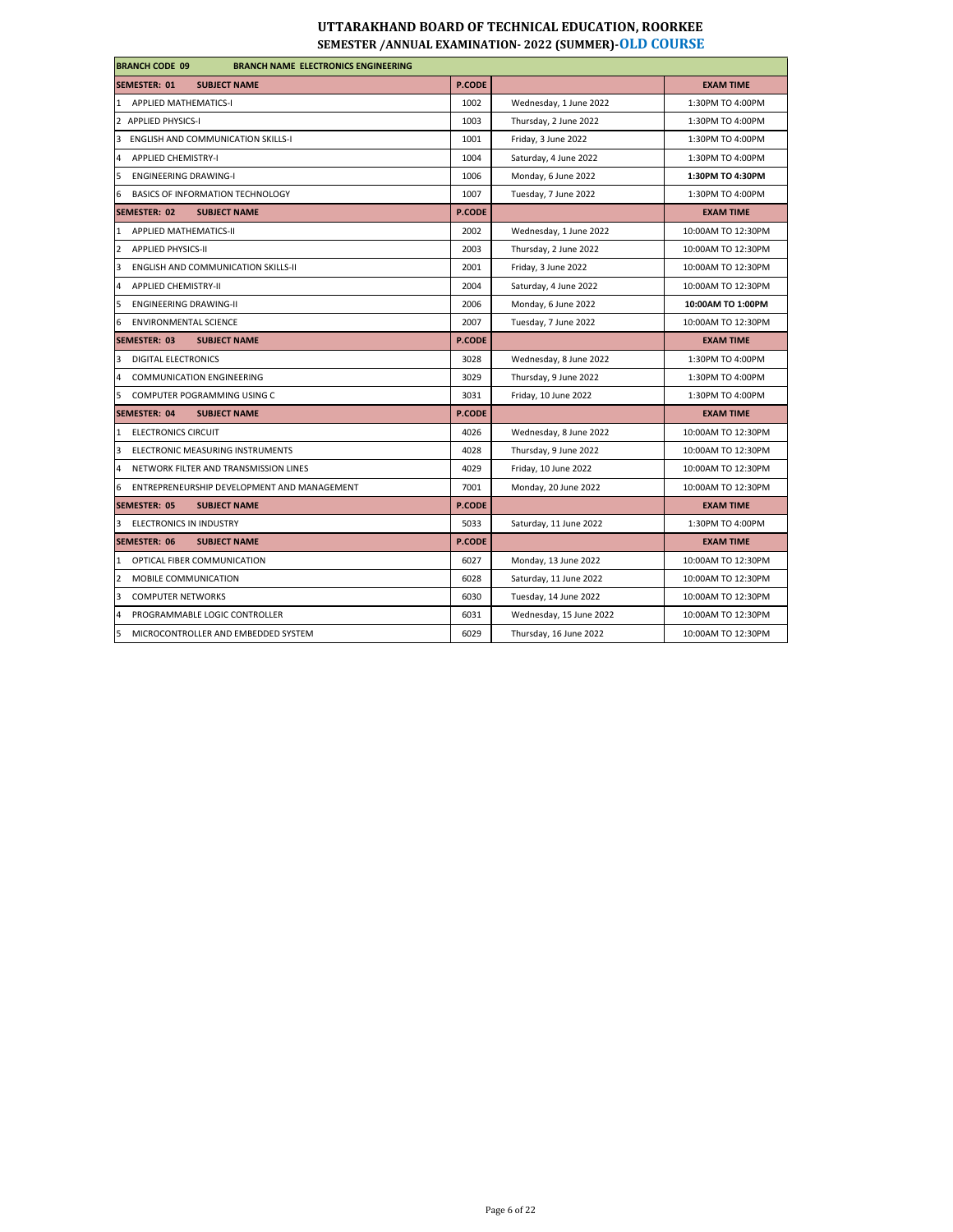# **UTTARAKHAND BOARD OF TECHNICAL EDUCATION, ROORKEE**

| <b>BRANCH CODE 09</b><br><b>BRANCH NAME ELECTRONICS ENGINEERING</b> |               |                         |                    |  |
|---------------------------------------------------------------------|---------------|-------------------------|--------------------|--|
| <b>SEMESTER: 01</b><br><b>SUBJECT NAME</b>                          | <b>P.CODE</b> |                         | <b>EXAM TIME</b>   |  |
| 1 APPLIED MATHEMATICS-I                                             | 1002          | Wednesday, 1 June 2022  | 1:30PM TO 4:00PM   |  |
| 2 APPLIED PHYSICS-I                                                 | 1003          | Thursday, 2 June 2022   | 1:30PM TO 4:00PM   |  |
| <b>ENGLISH AND COMMUNICATION SKILLS-I</b><br>3                      | 1001          | Friday, 3 June 2022     | 1:30PM TO 4:00PM   |  |
| <b>APPLIED CHEMISTRY-I</b><br>4                                     | 1004          | Saturday, 4 June 2022   | 1:30PM TO 4:00PM   |  |
| <b>ENGINEERING DRAWING-I</b><br>5                                   | 1006          | Monday, 6 June 2022     | 1:30PM TO 4:30PM   |  |
| BASICS OF INFORMATION TECHNOLOGY<br>6                               | 1007          | Tuesday, 7 June 2022    | 1:30PM TO 4:00PM   |  |
| <b>SEMESTER: 02</b><br><b>SUBJECT NAME</b>                          | <b>P.CODE</b> |                         | <b>EXAM TIME</b>   |  |
| <b>APPLIED MATHEMATICS-II</b><br>1                                  | 2002          | Wednesday, 1 June 2022  | 10:00AM TO 12:30PM |  |
| <b>APPLIED PHYSICS-II</b><br>2                                      | 2003          | Thursday, 2 June 2022   | 10:00AM TO 12:30PM |  |
| <b>ENGLISH AND COMMUNICATION SKILLS-II</b><br>3                     | 2001          | Friday, 3 June 2022     | 10:00AM TO 12:30PM |  |
| <b>APPLIED CHEMISTRY-II</b><br>4                                    | 2004          | Saturday, 4 June 2022   | 10:00AM TO 12:30PM |  |
| 5<br><b>ENGINEERING DRAWING-II</b>                                  | 2006          | Monday, 6 June 2022     | 10:00AM TO 1:00PM  |  |
| <b>ENVIRONMENTAL SCIENCE</b><br>6                                   | 2007          | Tuesday, 7 June 2022    | 10:00AM TO 12:30PM |  |
| <b>SEMESTER: 03</b><br><b>SUBJECT NAME</b>                          | <b>P.CODE</b> |                         | <b>EXAM TIME</b>   |  |
| <b>DIGITAL ELECTRONICS</b><br>3                                     | 3028          | Wednesday, 8 June 2022  | 1:30PM TO 4:00PM   |  |
| <b>COMMUNICATION ENGINEERING</b><br>4                               | 3029          | Thursday, 9 June 2022   | 1:30PM TO 4:00PM   |  |
| <b>COMPUTER POGRAMMING USING C</b><br>5                             | 3031          | Friday, 10 June 2022    | 1:30PM TO 4:00PM   |  |
| <b>SEMESTER: 04</b><br><b>SUBJECT NAME</b>                          | <b>P.CODE</b> |                         | <b>EXAM TIME</b>   |  |
| <b>ELECTRONICS CIRCUIT</b><br>1                                     | 4026          | Wednesday, 8 June 2022  | 10:00AM TO 12:30PM |  |
| 3<br>ELECTRONIC MEASURING INSTRUMENTS                               | 4028          | Thursday, 9 June 2022   | 10:00AM TO 12:30PM |  |
| NETWORK FILTER AND TRANSMISSION LINES<br>4                          | 4029          | Friday, 10 June 2022    | 10:00AM TO 12:30PM |  |
| ENTREPRENEURSHIP DEVELOPMENT AND MANAGEMENT<br>6                    | 7001          | Monday, 20 June 2022    | 10:00AM TO 12:30PM |  |
| <b>SEMESTER: 05</b><br><b>SUBJECT NAME</b>                          | <b>P.CODE</b> |                         | <b>EXAM TIME</b>   |  |
| ELECTRONICS IN INDUSTRY<br>3                                        | 5033          | Saturday, 11 June 2022  | 1:30PM TO 4:00PM   |  |
| <b>SEMESTER: 06</b><br><b>SUBJECT NAME</b>                          | <b>P.CODE</b> |                         | <b>EXAM TIME</b>   |  |
| OPTICAL FIBER COMMUNICATION<br>1                                    | 6027          | Monday, 13 June 2022    | 10:00AM TO 12:30PM |  |
| 2<br><b>MOBILE COMMUNICATION</b>                                    | 6028          | Saturday, 11 June 2022  | 10:00AM TO 12:30PM |  |
| 3<br><b>COMPUTER NETWORKS</b>                                       | 6030          | Tuesday, 14 June 2022   | 10:00AM TO 12:30PM |  |
| PROGRAMMABLE LOGIC CONTROLLER<br>4                                  | 6031          | Wednesday, 15 June 2022 | 10:00AM TO 12:30PM |  |
| 5<br>MICROCONTROLLER AND EMBEDDED SYSTEM                            | 6029          | Thursday, 16 June 2022  | 10:00AM TO 12:30PM |  |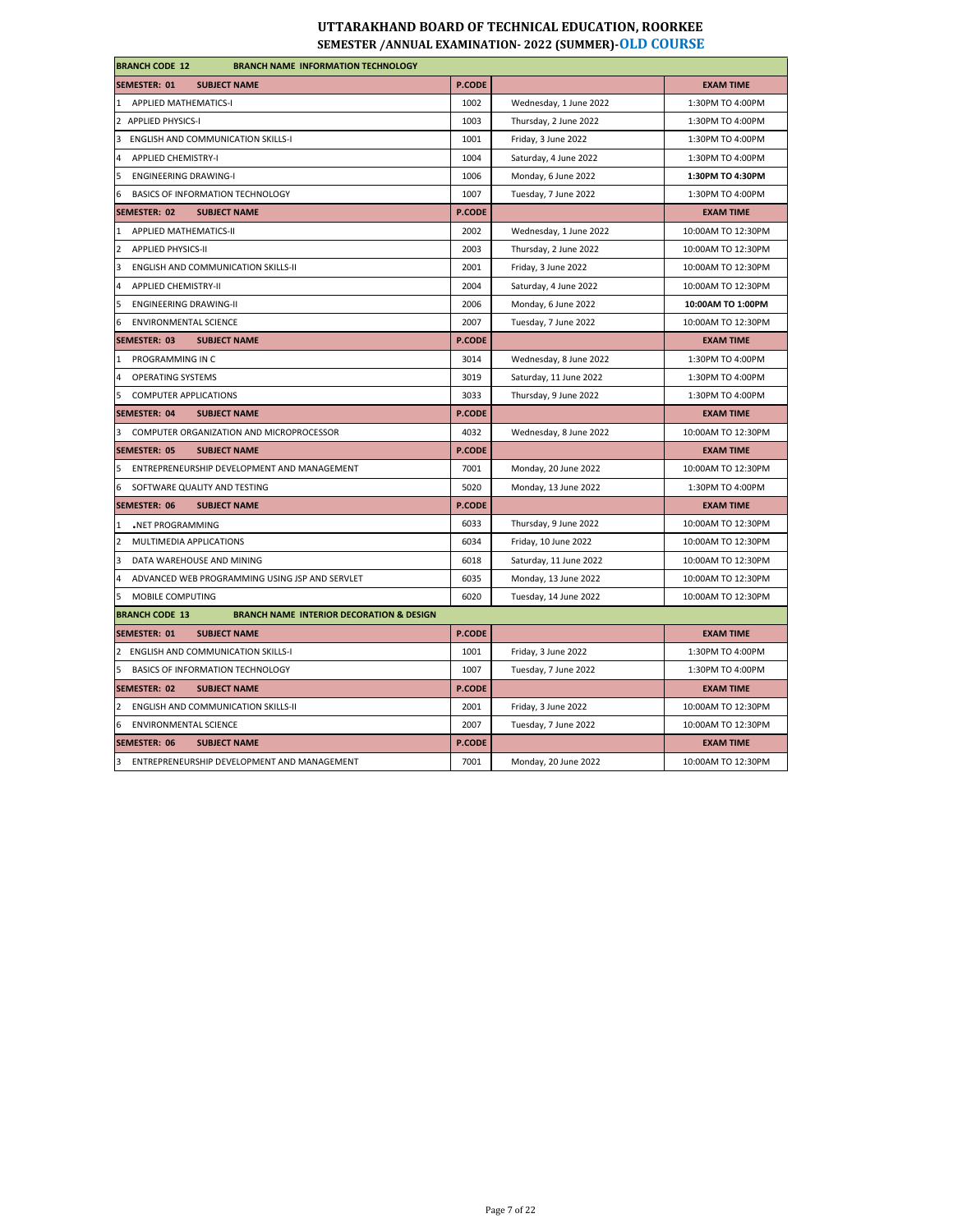| <b>BRANCH CODE 12</b><br><b>BRANCH NAME INFORMATION TECHNOLOGY</b>           |               |                        |                    |
|------------------------------------------------------------------------------|---------------|------------------------|--------------------|
| SEMESTER: 01<br><b>SUBJECT NAME</b>                                          | P.CODE        |                        | <b>EXAM TIME</b>   |
| 1 APPLIED MATHEMATICS-I                                                      | 1002          | Wednesday, 1 June 2022 | 1:30PM TO 4:00PM   |
| 2 APPLIED PHYSICS-I                                                          | 1003          | Thursday, 2 June 2022  | 1:30PM TO 4:00PM   |
| 3 ENGLISH AND COMMUNICATION SKILLS-I                                         | 1001          | Friday, 3 June 2022    | 1:30PM TO 4:00PM   |
| 4 APPLIED CHEMISTRY-I                                                        | 1004          | Saturday, 4 June 2022  | 1:30PM TO 4:00PM   |
| ENGINEERING DRAWING-I                                                        | 1006          | Monday, 6 June 2022    | 1:30PM TO 4:30PM   |
| 6 BASICS OF INFORMATION TECHNOLOGY                                           | 1007          | Tuesday, 7 June 2022   | 1:30PM TO 4:00PM   |
| <b>SUBJECT NAME</b><br>SEMESTER: 02                                          | <b>P.CODE</b> |                        | <b>EXAM TIME</b>   |
| 1 APPLIED MATHEMATICS-II                                                     | 2002          | Wednesday, 1 June 2022 | 10:00AM TO 12:30PM |
| 2 APPLIED PHYSICS-II                                                         | 2003          | Thursday, 2 June 2022  | 10:00AM TO 12:30PM |
| 3 ENGLISH AND COMMUNICATION SKILLS-II                                        | 2001          | Friday, 3 June 2022    | 10:00AM TO 12:30PM |
| 4 APPLIED CHEMISTRY-II                                                       | 2004          | Saturday, 4 June 2022  | 10:00AM TO 12:30PM |
| 5 ENGINEERING DRAWING-II                                                     | 2006          | Monday, 6 June 2022    | 10:00AM TO 1:00PM  |
| 6 ENVIRONMENTAL SCIENCE                                                      | 2007          | Tuesday, 7 June 2022   | 10:00AM TO 12:30PM |
| SEMESTER: 03<br><b>SUBJECT NAME</b>                                          | <b>P.CODE</b> |                        | <b>EXAM TIME</b>   |
| 1 PROGRAMMING IN C                                                           | 3014          | Wednesday, 8 June 2022 | 1:30PM TO 4:00PM   |
| 4 OPERATING SYSTEMS                                                          | 3019          | Saturday, 11 June 2022 | 1:30PM TO 4:00PM   |
| 5 COMPUTER APPLICATIONS                                                      | 3033          | Thursday, 9 June 2022  | 1:30PM TO 4:00PM   |
| <b>SEMESTER: 04</b><br><b>SUBJECT NAME</b>                                   | <b>P.CODE</b> |                        | <b>EXAM TIME</b>   |
| 3 COMPUTER ORGANIZATION AND MICROPROCESSOR                                   | 4032          | Wednesday, 8 June 2022 | 10:00AM TO 12:30PM |
| SEMESTER: 05<br><b>SUBJECT NAME</b>                                          | <b>P.CODE</b> |                        | <b>EXAM TIME</b>   |
| 5 ENTREPRENEURSHIP DEVELOPMENT AND MANAGEMENT                                | 7001          | Monday, 20 June 2022   | 10:00AM TO 12:30PM |
| 6 SOFTWARE QUALITY AND TESTING                                               | 5020          | Monday, 13 June 2022   | 1:30PM TO 4:00PM   |
| <b>SEMESTER: 06</b><br><b>SUBJECT NAME</b>                                   | P.CODE        |                        | <b>EXAM TIME</b>   |
| NET PROGRAMMING                                                              | 6033          | Thursday, 9 June 2022  | 10:00AM TO 12:30PM |
| 2 MULTIMEDIA APPLICATIONS                                                    | 6034          | Friday, 10 June 2022   | 10:00AM TO 12:30PM |
| 3<br>DATA WAREHOUSE AND MINING                                               | 6018          | Saturday, 11 June 2022 | 10:00AM TO 12:30PM |
| 4 ADVANCED WEB PROGRAMMING USING JSP AND SERVLET                             | 6035          | Monday, 13 June 2022   | 10:00AM TO 12:30PM |
| 5 MOBILE COMPUTING                                                           | 6020          | Tuesday, 14 June 2022  | 10:00AM TO 12:30PM |
| <b>BRANCH CODE 13</b><br><b>BRANCH NAME INTERIOR DECORATION &amp; DESIGN</b> |               |                        |                    |
| SEMESTER: 01<br><b>SUBJECT NAME</b>                                          | <b>P.CODE</b> |                        | <b>EXAM TIME</b>   |
| 2 ENGLISH AND COMMUNICATION SKILLS-I                                         | 1001          | Friday, 3 June 2022    | 1:30PM TO 4:00PM   |
| 5 BASICS OF INFORMATION TECHNOLOGY                                           | 1007          | Tuesday, 7 June 2022   | 1:30PM TO 4:00PM   |
| SEMESTER: 02<br><b>SUBJECT NAME</b>                                          | <b>P.CODE</b> |                        | <b>EXAM TIME</b>   |
| 2 ENGLISH AND COMMUNICATION SKILLS-II                                        | 2001          | Friday, 3 June 2022    | 10:00AM TO 12:30PM |
| 6 ENVIRONMENTAL SCIENCE                                                      | 2007          | Tuesday, 7 June 2022   | 10:00AM TO 12:30PM |
| <b>SEMESTER: 06</b><br><b>SUBJECT NAME</b>                                   | P.CODE        |                        | <b>EXAM TIME</b>   |
| 3 ENTREPRENEURSHIP DEVELOPMENT AND MANAGEMENT                                | 7001          | Monday, 20 June 2022   | 10:00AM TO 12:30PM |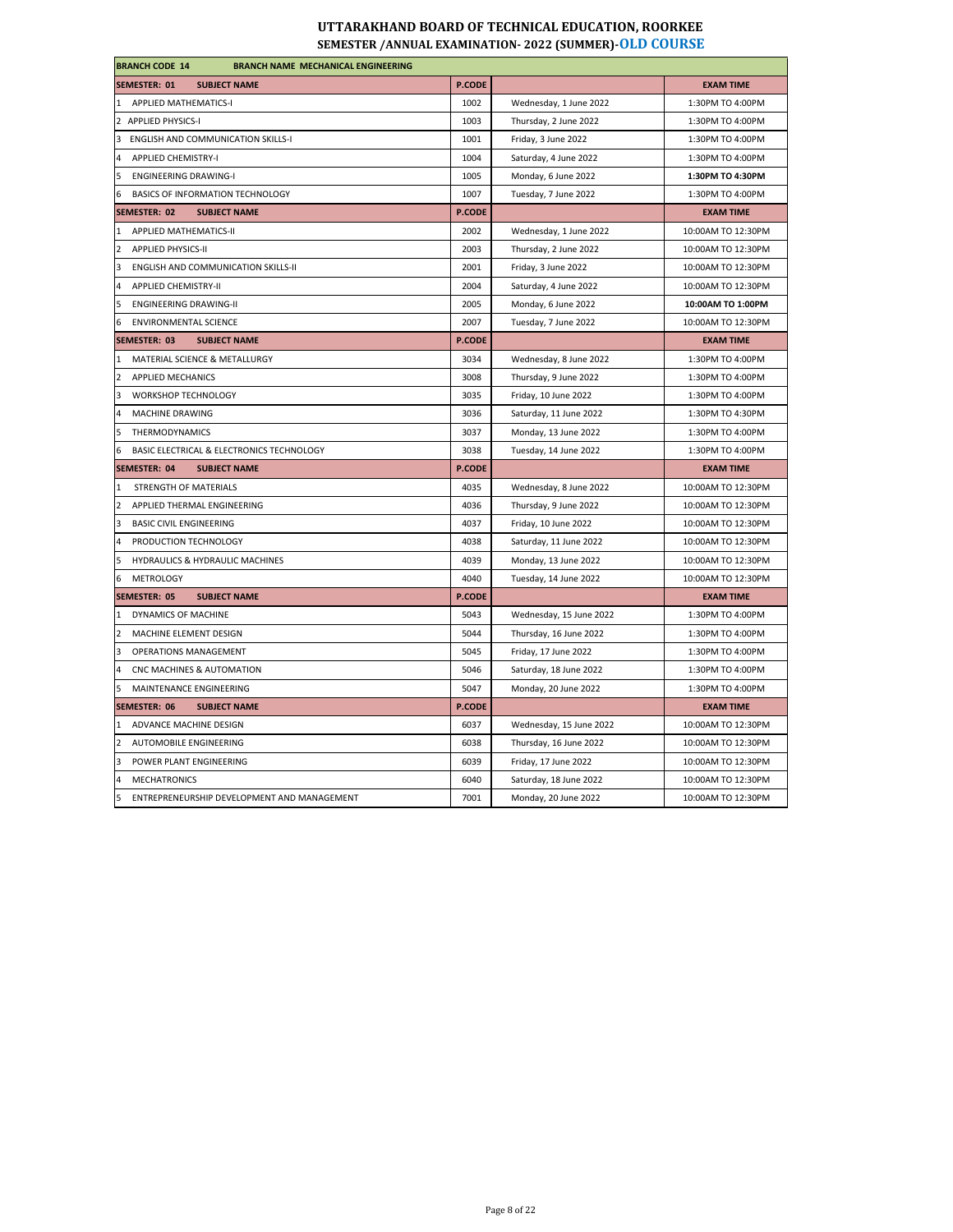| <b>BRANCH CODE 14</b><br><b>BRANCH NAME MECHANICAL ENGINEERING</b> |               |                         |                    |  |
|--------------------------------------------------------------------|---------------|-------------------------|--------------------|--|
| SEMESTER: 01<br><b>SUBJECT NAME</b>                                | <b>P.CODE</b> |                         | <b>EXAM TIME</b>   |  |
| 1 APPLIED MATHEMATICS-I                                            | 1002          | Wednesday, 1 June 2022  | 1:30PM TO 4:00PM   |  |
| 2 APPLIED PHYSICS-I                                                | 1003          | Thursday, 2 June 2022   | 1:30PM TO 4:00PM   |  |
| 3<br>ENGLISH AND COMMUNICATION SKILLS-I                            | 1001          | Friday, 3 June 2022     | 1:30PM TO 4:00PM   |  |
| <b>APPLIED CHEMISTRY-I</b>                                         | 1004          | Saturday, 4 June 2022   | 1:30PM TO 4:00PM   |  |
| 5<br><b>ENGINEERING DRAWING-I</b>                                  | 1005          | Monday, 6 June 2022     | 1:30PM TO 4:30PM   |  |
| BASICS OF INFORMATION TECHNOLOGY<br>6                              | 1007          | Tuesday, 7 June 2022    | 1:30PM TO 4:00PM   |  |
| <b>SEMESTER: 02</b><br><b>SUBJECT NAME</b>                         | P.CODE        |                         | <b>EXAM TIME</b>   |  |
| APPLIED MATHEMATICS-II<br>$\mathbf{1}$                             | 2002          | Wednesday, 1 June 2022  | 10:00AM TO 12:30PM |  |
| <b>APPLIED PHYSICS-II</b><br>$\overline{2}$                        | 2003          | Thursday, 2 June 2022   | 10:00AM TO 12:30PM |  |
| 3<br>ENGLISH AND COMMUNICATION SKILLS-II                           | 2001          | Friday, 3 June 2022     | 10:00AM TO 12:30PM |  |
| $\overline{4}$<br><b>APPLIED CHEMISTRY-II</b>                      | 2004          | Saturday, 4 June 2022   | 10:00AM TO 12:30PM |  |
| 5<br><b>ENGINEERING DRAWING-II</b>                                 | 2005          | Monday, 6 June 2022     | 10:00AM TO 1:00PM  |  |
| <b>ENVIRONMENTAL SCIENCE</b><br>-6                                 | 2007          | Tuesday, 7 June 2022    | 10:00AM TO 12:30PM |  |
| <b>SEMESTER: 03</b><br><b>SUBJECT NAME</b>                         | <b>P.CODE</b> |                         | <b>EXAM TIME</b>   |  |
| 1 MATERIAL SCIENCE & METALLURGY                                    | 3034          | Wednesday, 8 June 2022  | 1:30PM TO 4:00PM   |  |
| 2<br>APPLIED MECHANICS                                             | 3008          | Thursday, 9 June 2022   | 1:30PM TO 4:00PM   |  |
| 3<br>WORKSHOP TECHNOLOGY                                           | 3035          | Friday, 10 June 2022    | 1:30PM TO 4:00PM   |  |
| MACHINE DRAWING<br>$\overline{a}$                                  | 3036          | Saturday, 11 June 2022  | 1:30PM TO 4:30PM   |  |
| 5<br>THERMODYNAMICS                                                | 3037          | Monday, 13 June 2022    | 1:30PM TO 4:00PM   |  |
| BASIC ELECTRICAL & ELECTRONICS TECHNOLOGY<br>6                     | 3038          | Tuesday, 14 June 2022   | 1:30PM TO 4:00PM   |  |
| SEMESTER: 04<br><b>SUBJECT NAME</b>                                | P.CODE        |                         | <b>EXAM TIME</b>   |  |
| STRENGTH OF MATERIALS<br>$\overline{1}$                            | 4035          | Wednesday, 8 June 2022  | 10:00AM TO 12:30PM |  |
| APPLIED THERMAL ENGINEERING<br>$\overline{2}$                      | 4036          | Thursday, 9 June 2022   | 10:00AM TO 12:30PM |  |
| 3<br><b>BASIC CIVIL ENGINEERING</b>                                | 4037          | Friday, 10 June 2022    | 10:00AM TO 12:30PM |  |
| PRODUCTION TECHNOLOGY                                              | 4038          | Saturday, 11 June 2022  | 10:00AM TO 12:30PM |  |
| HYDRAULICS & HYDRAULIC MACHINES<br>5                               | 4039          | Monday, 13 June 2022    | 10:00AM TO 12:30PM |  |
| <b>METROLOGY</b><br>6                                              | 4040          | Tuesday, 14 June 2022   | 10:00AM TO 12:30PM |  |
| <b>SEMESTER: 05</b><br><b>SUBJECT NAME</b>                         | P.CODE        |                         | <b>EXAM TIME</b>   |  |
| DYNAMICS OF MACHINE<br>$\mathbf{1}$                                | 5043          | Wednesday, 15 June 2022 | 1:30PM TO 4:00PM   |  |
| $\overline{2}$<br>MACHINE ELEMENT DESIGN                           | 5044          | Thursday, 16 June 2022  | 1:30PM TO 4:00PM   |  |
| 3<br><b>OPERATIONS MANAGEMENT</b>                                  | 5045          | Friday, 17 June 2022    | 1:30PM TO 4:00PM   |  |
| $\overline{4}$<br>CNC MACHINES & AUTOMATION                        | 5046          | Saturday, 18 June 2022  | 1:30PM TO 4:00PM   |  |
| MAINTENANCE ENGINEERING<br>5                                       | 5047          | Monday, 20 June 2022    | 1:30PM TO 4:00PM   |  |
| <b>SEMESTER: 06</b><br><b>SUBJECT NAME</b>                         | <b>P.CODE</b> |                         | <b>EXAM TIME</b>   |  |
| ADVANCE MACHINE DESIGN<br>$\mathbf{1}$                             | 6037          | Wednesday, 15 June 2022 | 10:00AM TO 12:30PM |  |
| 2<br>AUTOMOBILE ENGINEERING                                        | 6038          | Thursday, 16 June 2022  | 10:00AM TO 12:30PM |  |
| 3<br>POWER PLANT ENGINEERING                                       | 6039          | Friday, 17 June 2022    | 10:00AM TO 12:30PM |  |
| <b>MECHATRONICS</b><br>$\Delta$                                    | 6040          | Saturday, 18 June 2022  | 10:00AM TO 12:30PM |  |
| ENTREPRENEURSHIP DEVELOPMENT AND MANAGEMENT<br>5                   |               |                         |                    |  |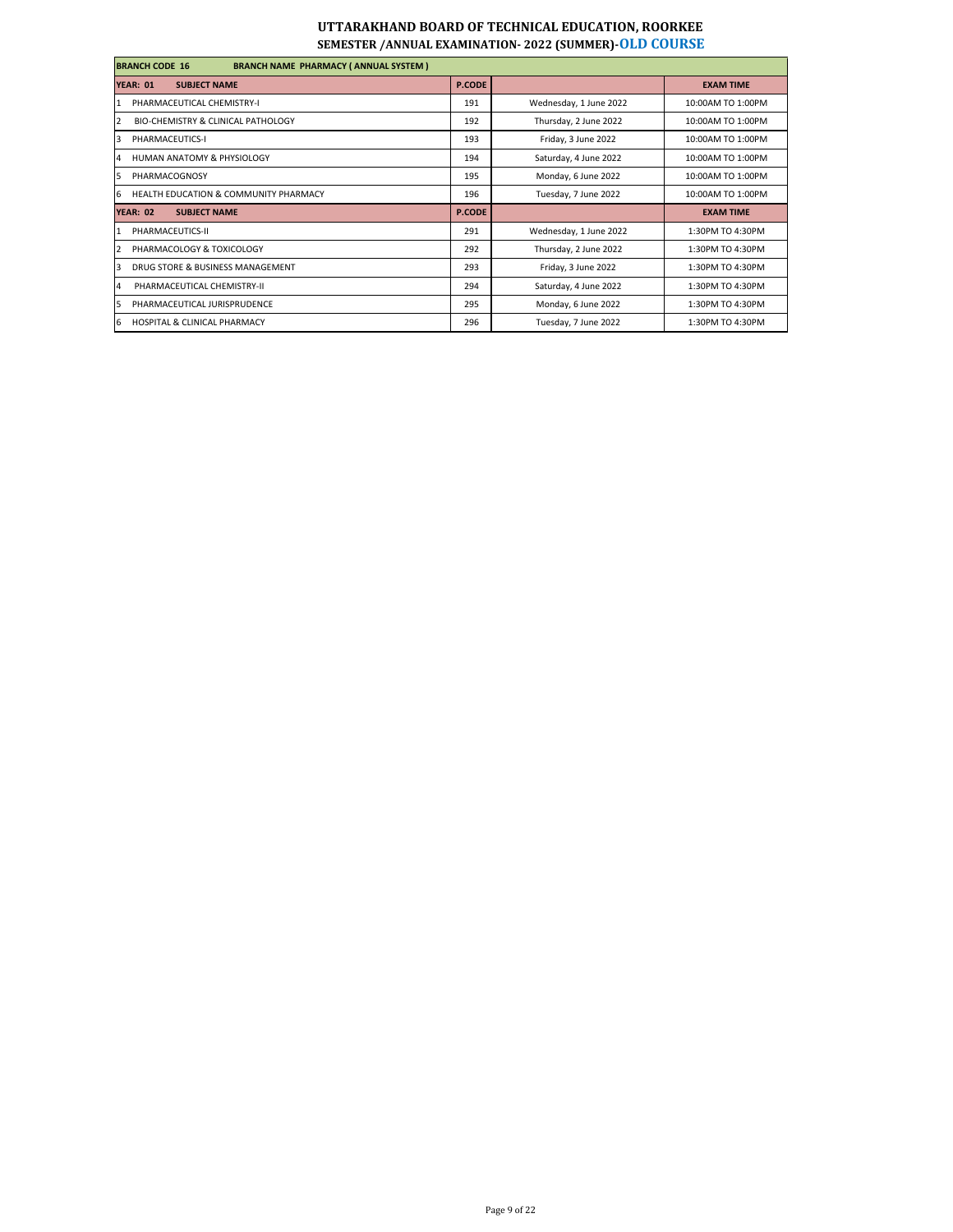| <b>BRANCH CODE 16</b><br><b>BRANCH NAME PHARMACY (ANNUAL SYSTEM)</b> |               |                        |                   |
|----------------------------------------------------------------------|---------------|------------------------|-------------------|
| <b>YEAR: 01</b><br><b>SUBJECT NAME</b>                               | <b>P.CODE</b> |                        | <b>EXAM TIME</b>  |
| PHARMACEUTICAL CHEMISTRY-I                                           | 191           | Wednesday, 1 June 2022 | 10:00AM TO 1:00PM |
| <b>BIO-CHEMISTRY &amp; CLINICAL PATHOLOGY</b><br>$\overline{2}$      | 192           | Thursday, 2 June 2022  | 10:00AM TO 1:00PM |
| 3<br>PHARMACEUTICS-I                                                 | 193           | Friday, 3 June 2022    | 10:00AM TO 1:00PM |
| HUMAN ANATOMY & PHYSIOLOGY<br>4                                      | 194           | Saturday, 4 June 2022  | 10:00AM TO 1:00PM |
| PHARMACOGNOSY<br>5                                                   | 195           | Monday, 6 June 2022    | 10:00AM TO 1:00PM |
| <b>HEALTH EDUCATION &amp; COMMUNITY PHARMACY</b><br>6                | 196           | Tuesday, 7 June 2022   | 10:00AM TO 1:00PM |
| <b>SUBJECT NAME</b><br><b>YEAR: 02</b>                               | <b>P.CODE</b> |                        | <b>EXAM TIME</b>  |
| PHARMACEUTICS-II                                                     | 291           | Wednesday, 1 June 2022 | 1:30PM TO 4:30PM  |
| PHARMACOLOGY & TOXICOLOGY                                            | 292           | Thursday, 2 June 2022  | 1:30PM TO 4:30PM  |
| DRUG STORE & BUSINESS MANAGEMENT                                     | 293           | Friday, 3 June 2022    | 1:30PM TO 4:30PM  |
| PHARMACEUTICAL CHEMISTRY-II<br>$\overline{4}$                        | 294           | Saturday, 4 June 2022  | 1:30PM TO 4:30PM  |
| PHARMACEUTICAL JURISPRUDENCE<br>5                                    | 295           | Monday, 6 June 2022    | 1:30PM TO 4:30PM  |
| <b>HOSPITAL &amp; CLINICAL PHARMACY</b><br>6                         | 296           | Tuesday, 7 June 2022   | 1:30PM TO 4:30PM  |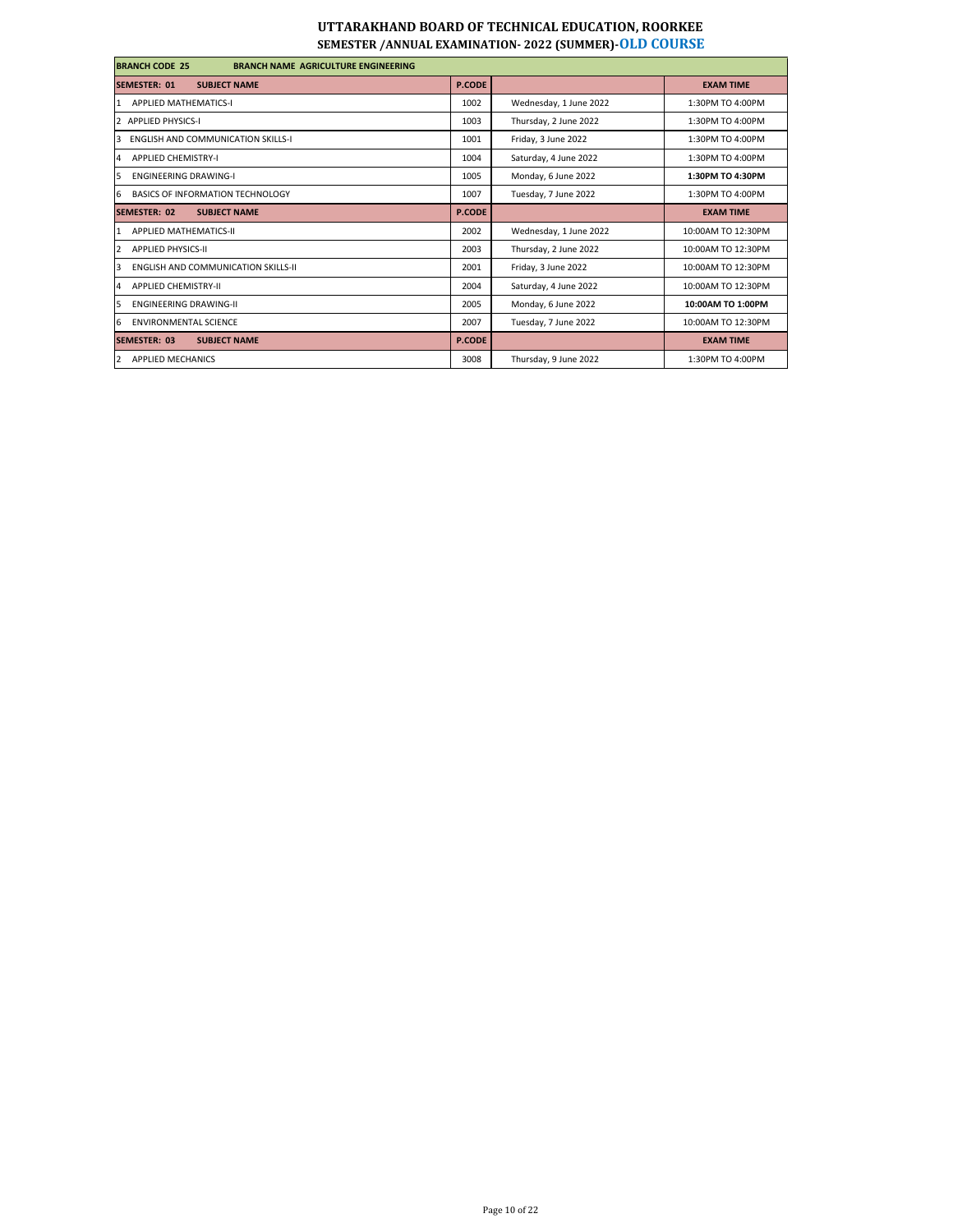| <b>BRANCH CODE 25</b><br><b>BRANCH NAME AGRICULTURE ENGINEERING</b> |               |                        |                    |
|---------------------------------------------------------------------|---------------|------------------------|--------------------|
| <b>SEMESTER: 01</b><br><b>SUBJECT NAME</b>                          | <b>P.CODE</b> |                        | <b>EXAM TIME</b>   |
| <b>APPLIED MATHEMATICS-I</b><br>1                                   | 1002          | Wednesday, 1 June 2022 | 1:30PM TO 4:00PM   |
| <b>APPLIED PHYSICS-I</b>                                            | 1003          | Thursday, 2 June 2022  | 1:30PM TO 4:00PM   |
| <b>ENGLISH AND COMMUNICATION SKILLS-I</b><br>3                      | 1001          | Friday, 3 June 2022    | 1:30PM TO 4:00PM   |
| <b>APPLIED CHEMISTRY-I</b><br>4                                     | 1004          | Saturday, 4 June 2022  | 1:30PM TO 4:00PM   |
| 5<br><b>ENGINEERING DRAWING-I</b>                                   | 1005          | Monday, 6 June 2022    | 1:30PM TO 4:30PM   |
| 6<br>BASICS OF INFORMATION TECHNOLOGY                               | 1007          | Tuesday, 7 June 2022   | 1:30PM TO 4:00PM   |
| <b>SUBJECT NAME</b><br><b>SEMESTER: 02</b>                          | <b>P.CODE</b> |                        | <b>EXAM TIME</b>   |
| <b>APPLIED MATHEMATICS-II</b>                                       | 2002          | Wednesday, 1 June 2022 | 10:00AM TO 12:30PM |
| <b>APPLIED PHYSICS-II</b><br>$\overline{\mathbf{z}}$                | 2003          | Thursday, 2 June 2022  | 10:00AM TO 12:30PM |
| <b>ENGLISH AND COMMUNICATION SKILLS-II</b><br>$\overline{3}$        | 2001          | Friday, 3 June 2022    | 10:00AM TO 12:30PM |
| <b>APPLIED CHEMISTRY-II</b><br>4                                    | 2004          | Saturday, 4 June 2022  | 10:00AM TO 12:30PM |
| <b>FNGINFERING DRAWING-II</b><br>5                                  | 2005          | Monday, 6 June 2022    | 10:00AM TO 1:00PM  |
| 6<br><b>ENVIRONMENTAL SCIENCE</b>                                   | 2007          | Tuesday, 7 June 2022   | 10:00AM TO 12:30PM |
| SEMESTER: 03<br><b>SUBJECT NAME</b>                                 | <b>P.CODE</b> |                        | <b>EXAM TIME</b>   |
| $\overline{2}$<br><b>APPLIED MECHANICS</b>                          | 3008          | Thursday, 9 June 2022  | 1:30PM TO 4:00PM   |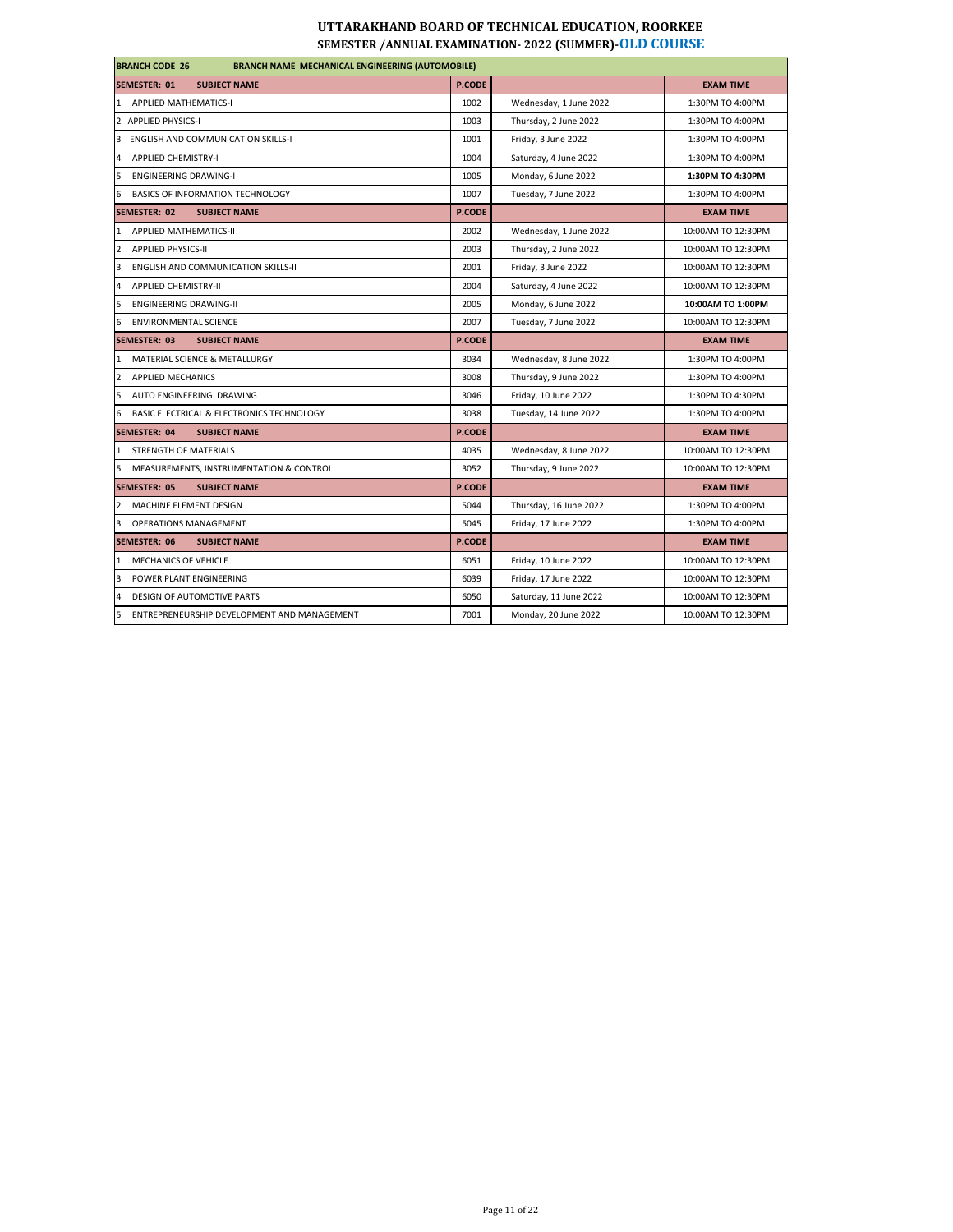| <b>BRANCH CODE 26</b><br><b>BRANCH NAME MECHANICAL ENGINEERING (AUTOMOBILE)</b> |               |                        |                    |  |
|---------------------------------------------------------------------------------|---------------|------------------------|--------------------|--|
| <b>SUBJECT NAME</b><br><b>SEMESTER: 01</b>                                      | <b>P.CODE</b> |                        | <b>EXAM TIME</b>   |  |
| <b>APPLIED MATHEMATICS-I</b><br>$\mathbf{1}$                                    | 1002          | Wednesday, 1 June 2022 | 1:30PM TO 4:00PM   |  |
| $\overline{2}$<br><b>APPLIED PHYSICS-I</b>                                      | 1003          | Thursday, 2 June 2022  | 1:30PM TO 4:00PM   |  |
| 3<br><b>ENGLISH AND COMMUNICATION SKILLS-I</b>                                  | 1001          | Friday, 3 June 2022    | 1:30PM TO 4:00PM   |  |
| <b>APPLIED CHEMISTRY-I</b><br>$\overline{4}$                                    | 1004          | Saturday, 4 June 2022  | 1:30PM TO 4:00PM   |  |
| 5<br><b>ENGINEERING DRAWING-I</b>                                               | 1005          | Monday, 6 June 2022    | 1:30PM TO 4:30PM   |  |
| 6<br><b>BASICS OF INFORMATION TECHNOLOGY</b>                                    | 1007          | Tuesday, 7 June 2022   | 1:30PM TO 4:00PM   |  |
| SEMESTER: 02<br><b>SUBJECT NAME</b>                                             | <b>P.CODE</b> |                        | <b>EXAM TIME</b>   |  |
| APPLIED MATHEMATICS-II<br>$\overline{1}$                                        | 2002          | Wednesday, 1 June 2022 | 10:00AM TO 12:30PM |  |
| $\overline{2}$<br><b>APPLIED PHYSICS-II</b>                                     | 2003          | Thursday, 2 June 2022  | 10:00AM TO 12:30PM |  |
| $\overline{3}$<br><b>ENGLISH AND COMMUNICATION SKILLS-II</b>                    | 2001          | Friday, 3 June 2022    | 10:00AM TO 12:30PM |  |
| $\overline{4}$<br><b>APPLIED CHEMISTRY-II</b>                                   | 2004          | Saturday, 4 June 2022  | 10:00AM TO 12:30PM |  |
| 5<br><b>ENGINEERING DRAWING-II</b>                                              | 2005          | Monday, 6 June 2022    | 10:00AM TO 1:00PM  |  |
| 6<br><b>ENVIRONMENTAL SCIENCE</b>                                               | 2007          | Tuesday, 7 June 2022   | 10:00AM TO 12:30PM |  |
| <b>SEMESTER: 03</b><br><b>SUBJECT NAME</b>                                      | <b>P.CODE</b> |                        | <b>EXAM TIME</b>   |  |
| MATERIAL SCIENCE & METALLURGY<br>1                                              | 3034          | Wednesday, 8 June 2022 | 1:30PM TO 4:00PM   |  |
| $\overline{2}$<br><b>APPLIED MECHANICS</b>                                      | 3008          | Thursday, 9 June 2022  | 1:30PM TO 4:00PM   |  |
| 5<br>AUTO ENGINEERING DRAWING                                                   | 3046          | Friday, 10 June 2022   | 1:30PM TO 4:30PM   |  |
| 6<br>BASIC ELECTRICAL & ELECTRONICS TECHNOLOGY                                  | 3038          | Tuesday, 14 June 2022  | 1:30PM TO 4:00PM   |  |
| <b>SEMESTER: 04</b><br><b>SUBJECT NAME</b>                                      | <b>P.CODE</b> |                        | <b>EXAM TIME</b>   |  |
| STRENGTH OF MATERIALS<br>1                                                      | 4035          | Wednesday, 8 June 2022 | 10:00AM TO 12:30PM |  |
| 5<br>MEASUREMENTS, INSTRUMENTATION & CONTROL                                    | 3052          | Thursday, 9 June 2022  | 10:00AM TO 12:30PM |  |
| <b>SEMESTER: 05</b><br><b>SUBJECT NAME</b>                                      | <b>P.CODE</b> |                        | <b>EXAM TIME</b>   |  |
| MACHINE ELEMENT DESIGN<br>2                                                     | 5044          | Thursday, 16 June 2022 | 1:30PM TO 4:00PM   |  |
| 3<br><b>OPERATIONS MANAGEMENT</b>                                               | 5045          | Friday, 17 June 2022   | 1:30PM TO 4:00PM   |  |
| <b>SEMESTER: 06</b><br><b>SUBJECT NAME</b>                                      | <b>P.CODE</b> |                        | <b>EXAM TIME</b>   |  |
| <b>MECHANICS OF VEHICLE</b><br>$\mathbf{1}$                                     | 6051          | Friday, 10 June 2022   | 10:00AM TO 12:30PM |  |
| 3<br>POWER PLANT ENGINEERING                                                    | 6039          | Friday, 17 June 2022   | 10:00AM TO 12:30PM |  |
| $\overline{4}$<br><b>DESIGN OF AUTOMOTIVE PARTS</b>                             | 6050          | Saturday, 11 June 2022 | 10:00AM TO 12:30PM |  |
| 5<br>ENTREPRENEURSHIP DEVELOPMENT AND MANAGEMENT                                | 7001          | Monday, 20 June 2022   | 10:00AM TO 12:30PM |  |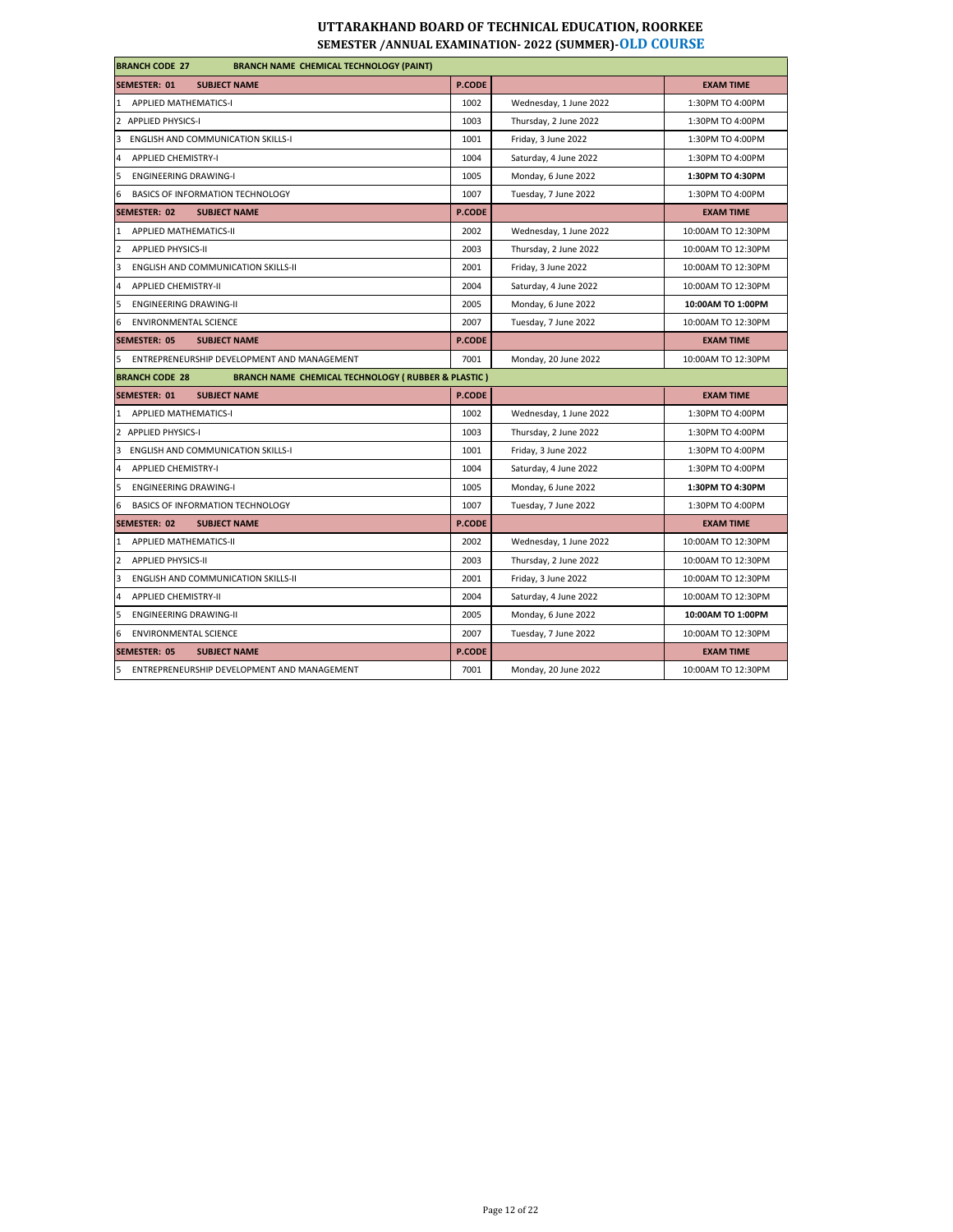| <b>BRANCH CODE 27</b><br><b>BRANCH NAME CHEMICAL TECHNOLOGY (PAINT)</b>                |               |                        |                    |  |
|----------------------------------------------------------------------------------------|---------------|------------------------|--------------------|--|
| <b>SEMESTER: 01</b><br><b>SUBJECT NAME</b>                                             | <b>P.CODE</b> |                        | <b>EXAM TIME</b>   |  |
| 1 APPLIED MATHEMATICS-I                                                                | 1002          | Wednesday, 1 June 2022 | 1:30PM TO 4:00PM   |  |
| 2 APPLIED PHYSICS-I                                                                    | 1003          | Thursday, 2 June 2022  | 1:30PM TO 4:00PM   |  |
| 3<br><b>ENGLISH AND COMMUNICATION SKILLS-I</b>                                         | 1001          | Friday, 3 June 2022    | 1:30PM TO 4:00PM   |  |
| <b>APPLIED CHEMISTRY-I</b><br>$\overline{a}$                                           | 1004          | Saturday, 4 June 2022  | 1:30PM TO 4:00PM   |  |
| 5<br><b>ENGINEERING DRAWING-I</b>                                                      | 1005          | Monday, 6 June 2022    | 1:30PM TO 4:30PM   |  |
| BASICS OF INFORMATION TECHNOLOGY<br>6                                                  | 1007          | Tuesday, 7 June 2022   | 1:30PM TO 4:00PM   |  |
| <b>SEMESTER: 02</b><br><b>SUBJECT NAME</b>                                             | P.CODE        |                        | <b>EXAM TIME</b>   |  |
| 1 APPLIED MATHEMATICS-II                                                               | 2002          | Wednesday, 1 June 2022 | 10:00AM TO 12:30PM |  |
| $\overline{2}$<br><b>APPLIED PHYSICS-II</b>                                            | 2003          | Thursday, 2 June 2022  | 10:00AM TO 12:30PM |  |
| 3<br><b>ENGLISH AND COMMUNICATION SKILLS-II</b>                                        | 2001          | Friday, 3 June 2022    | 10:00AM TO 12:30PM |  |
| $\overline{4}$<br><b>APPLIED CHEMISTRY-II</b>                                          | 2004          | Saturday, 4 June 2022  | 10:00AM TO 12:30PM |  |
| 5<br><b>ENGINEERING DRAWING-II</b>                                                     | 2005          | Monday, 6 June 2022    | 10:00AM TO 1:00PM  |  |
| <b>ENVIRONMENTAL SCIENCE</b><br>6                                                      | 2007          | Tuesday, 7 June 2022   | 10:00AM TO 12:30PM |  |
| <b>SEMESTER: 05</b><br><b>SUBJECT NAME</b>                                             | <b>P.CODE</b> |                        | <b>EXAM TIME</b>   |  |
| 5<br>ENTREPRENEURSHIP DEVELOPMENT AND MANAGEMENT                                       | 7001          | Monday, 20 June 2022   | 10:00AM TO 12:30PM |  |
| <b>BRANCH NAME CHEMICAL TECHNOLOGY (RUBBER &amp; PLASTIC)</b><br><b>BRANCH CODE 28</b> |               |                        |                    |  |
| <b>SEMESTER: 01</b><br><b>SUBJECT NAME</b>                                             | <b>P.CODE</b> |                        | <b>EXAM TIME</b>   |  |
| 1 APPLIED MATHEMATICS-I                                                                | 1002          | Wednesday, 1 June 2022 | 1:30PM TO 4:00PM   |  |
| 2 APPLIED PHYSICS-I                                                                    | 1003          | Thursday, 2 June 2022  | 1:30PM TO 4:00PM   |  |
| 3 ENGLISH AND COMMUNICATION SKILLS-I                                                   | 1001          | Friday, 3 June 2022    | 1:30PM TO 4:00PM   |  |
| 4<br><b>APPLIED CHEMISTRY-I</b>                                                        | 1004          | Saturday, 4 June 2022  | 1:30PM TO 4:00PM   |  |
| 5<br><b>ENGINEERING DRAWING-I</b>                                                      | 1005          | Monday, 6 June 2022    | 1:30PM TO 4:30PM   |  |
| 6<br>BASICS OF INFORMATION TECHNOLOGY                                                  | 1007          | Tuesday, 7 June 2022   | 1:30PM TO 4:00PM   |  |
| <b>SEMESTER: 02</b><br><b>SUBJECT NAME</b>                                             | <b>P.CODE</b> |                        | <b>EXAM TIME</b>   |  |
| 1 APPLIED MATHEMATICS-II                                                               | 2002          | Wednesday, 1 June 2022 | 10:00AM TO 12:30PM |  |
| $\overline{2}$<br><b>APPLIED PHYSICS-II</b>                                            | 2003          | Thursday, 2 June 2022  | 10:00AM TO 12:30PM |  |
| 3<br><b>ENGLISH AND COMMUNICATION SKILLS-II</b>                                        | 2001          | Friday, 3 June 2022    | 10:00AM TO 12:30PM |  |
| 4<br><b>APPLIED CHEMISTRY-II</b>                                                       | 2004          | Saturday, 4 June 2022  | 10:00AM TO 12:30PM |  |
| 5<br>ENGINEERING DRAWING-II                                                            | 2005          | Monday, 6 June 2022    | 10:00AM TO 1:00PM  |  |
| 6 ENVIRONMENTAL SCIENCE                                                                | 2007          | Tuesday, 7 June 2022   | 10:00AM TO 12:30PM |  |
| <b>SEMESTER: 05</b><br><b>SUBJECT NAME</b>                                             | <b>P.CODE</b> |                        | <b>EXAM TIME</b>   |  |
| 5 ENTREPRENEURSHIP DEVELOPMENT AND MANAGEMENT                                          | 7001          | Monday, 20 June 2022   | 10:00AM TO 12:30PM |  |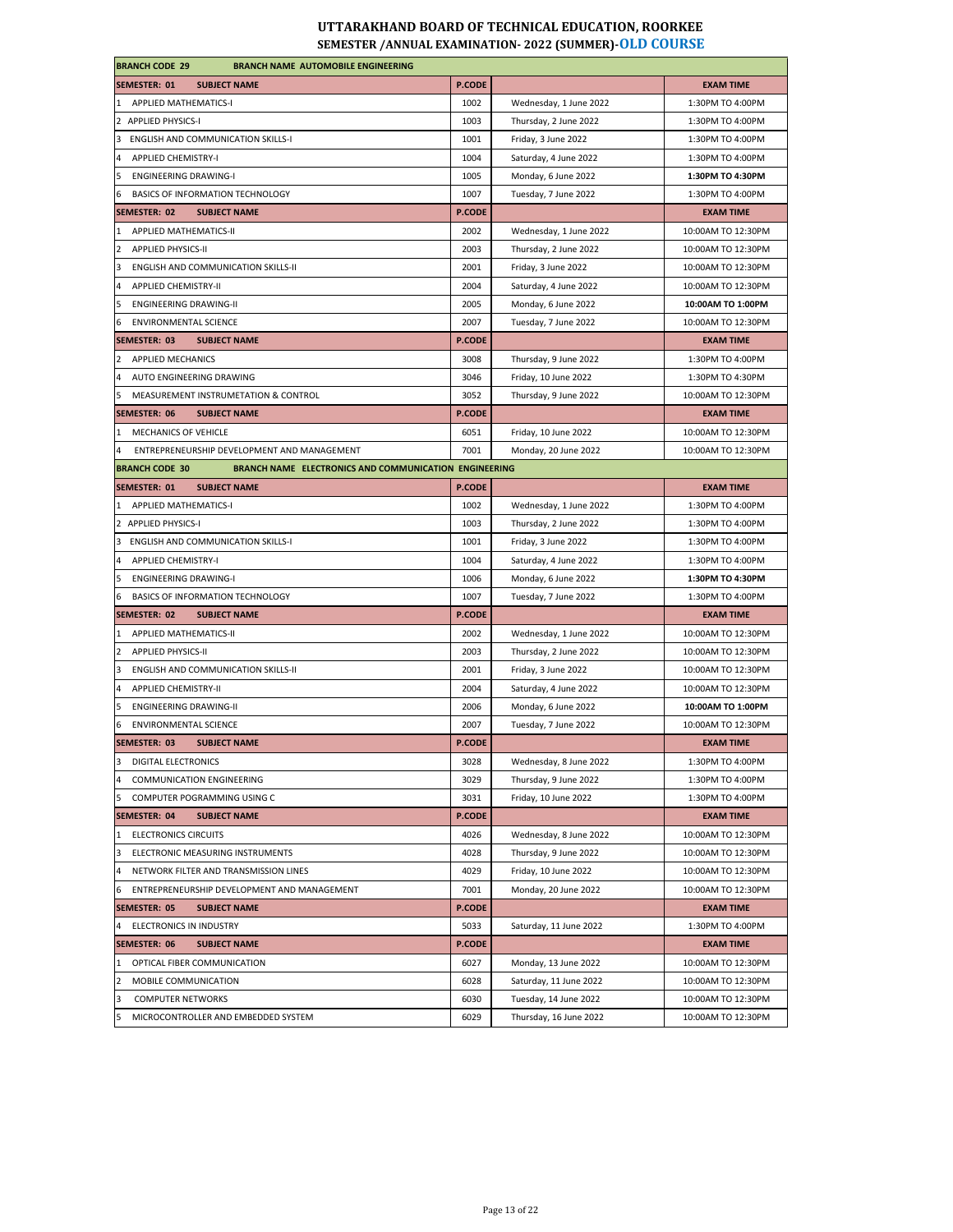| <b>BRANCH CODE 29</b><br><b>BRANCH NAME AUTOMOBILE ENGINEERING</b>             |               |                        |                    |
|--------------------------------------------------------------------------------|---------------|------------------------|--------------------|
| SEMESTER: 01<br><b>SUBJECT NAME</b>                                            | P.CODE        |                        | <b>EXAM TIME</b>   |
| 1 APPLIED MATHEMATICS-I                                                        | 1002          | Wednesday, 1 June 2022 | 1:30PM TO 4:00PM   |
| 2 APPLIED PHYSICS-I                                                            | 1003          | Thursday, 2 June 2022  | 1:30PM TO 4:00PM   |
| 3 ENGLISH AND COMMUNICATION SKILLS-I                                           | 1001          | Friday, 3 June 2022    | 1:30PM TO 4:00PM   |
| 4<br><b>APPLIED CHEMISTRY-I</b>                                                | 1004          | Saturday, 4 June 2022  | 1:30PM TO 4:00PM   |
| 5<br><b>ENGINEERING DRAWING-I</b>                                              | 1005          | Monday, 6 June 2022    | 1:30PM TO 4:30PM   |
| BASICS OF INFORMATION TECHNOLOGY<br>6                                          | 1007          | Tuesday, 7 June 2022   | 1:30PM TO 4:00PM   |
| SEMESTER: 02<br><b>SUBJECT NAME</b>                                            | P.CODE        |                        | <b>EXAM TIME</b>   |
| APPLIED MATHEMATICS-II<br>$\mathbf{1}$                                         | 2002          | Wednesday, 1 June 2022 | 10:00AM TO 12:30PM |
| $\overline{2}$<br><b>APPLIED PHYSICS-II</b>                                    | 2003          | Thursday, 2 June 2022  | 10:00AM TO 12:30PM |
| 3<br><b>ENGLISH AND COMMUNICATION SKILLS-II</b>                                | 2001          | Friday, 3 June 2022    | 10:00AM TO 12:30PM |
| <b>APPLIED CHEMISTRY-II</b><br>4                                               | 2004          | Saturday, 4 June 2022  | 10:00AM TO 12:30PM |
| 5<br><b>ENGINEERING DRAWING-II</b>                                             | 2005          | Monday, 6 June 2022    | 10:00AM TO 1:00PM  |
| <b>ENVIRONMENTAL SCIENCE</b><br>6                                              | 2007          | Tuesday, 7 June 2022   | 10:00AM TO 12:30PM |
| SEMESTER: 03<br><b>SUBJECT NAME</b>                                            | <b>P.CODE</b> |                        | <b>EXAM TIME</b>   |
| 2 APPLIED MECHANICS                                                            | 3008          | Thursday, 9 June 2022  | 1:30PM TO 4:00PM   |
| 4<br>AUTO ENGINEERING DRAWING                                                  | 3046          | Friday, 10 June 2022   | 1:30PM TO 4:30PM   |
| 5<br>MEASUREMENT INSTRUMETATION & CONTROL                                      | 3052          | Thursday, 9 June 2022  | 10:00AM TO 12:30PM |
| <b>SEMESTER: 06</b><br><b>SUBJECT NAME</b>                                     | P.CODE        |                        | <b>EXAM TIME</b>   |
| 1 MECHANICS OF VEHICLE                                                         | 6051          | Friday, 10 June 2022   | 10:00AM TO 12:30PM |
| 4<br>ENTREPRENEURSHIP DEVELOPMENT AND MANAGEMENT                               | 7001          | Monday, 20 June 2022   | 10:00AM TO 12:30PM |
| <b>BRANCH CODE 30</b><br>BRANCH NAME ELECTRONICS AND COMMUNICATION ENGINEERING |               |                        |                    |
| SEMESTER: 01<br><b>SUBJECT NAME</b>                                            | P.CODE        |                        | <b>EXAM TIME</b>   |
| 1 APPLIED MATHEMATICS-I                                                        | 1002          | Wednesday, 1 June 2022 | 1:30PM TO 4:00PM   |
| 2 APPLIED PHYSICS-I                                                            | 1003          | Thursday, 2 June 2022  | 1:30PM TO 4:00PM   |
| 3 ENGLISH AND COMMUNICATION SKILLS-I                                           | 1001          | Friday, 3 June 2022    | 1:30PM TO 4:00PM   |
| 4<br>APPLIED CHEMISTRY-I                                                       | 1004          | Saturday, 4 June 2022  | 1:30PM TO 4:00PM   |
| <b>ENGINEERING DRAWING-I</b>                                                   | 1006          | Monday, 6 June 2022    | 1:30PM TO 4:30PM   |
| 6<br>BASICS OF INFORMATION TECHNOLOGY                                          | 1007          | Tuesday, 7 June 2022   | 1:30PM TO 4:00PM   |
| SEMESTER: 02<br><b>SUBJECT NAME</b>                                            | P.CODE        |                        | <b>EXAM TIME</b>   |
| 1 APPLIED MATHEMATICS-II                                                       | 2002          | Wednesday, 1 June 2022 | 10:00AM TO 12:30PM |
| $2^{\circ}$<br><b>APPLIED PHYSICS-II</b>                                       | 2003          | Thursday, 2 June 2022  | 10:00AM TO 12:30PM |
| $\overline{\mathbf{3}}$<br><b>ENGLISH AND COMMUNICATION SKILLS-II</b>          | 2001          | Friday, 3 June 2022    | 10:00AM TO 12:30PM |
| 4<br><b>APPLIED CHEMISTRY-II</b>                                               | 2004          | Saturday, 4 June 2022  | 10:00AM TO 12:30PM |
| 5<br><b>ENGINEERING DRAWING-II</b>                                             | 2006          | Monday, 6 June 2022    | 10:00AM TO 1:00PM  |
| <b>ENVIRONMENTAL SCIENCE</b>                                                   | 2007          | Tuesday, 7 June 2022   | 10:00AM TO 12:30PM |
| 6                                                                              |               |                        |                    |
| SEMESTER: 03<br><b>SUBJECT NAME</b><br>3                                       | P.CODE        |                        | <b>EXAM TIME</b>   |
| DIGITAL ELECTRONICS<br>$\overline{a}$                                          | 3028          | Wednesday, 8 June 2022 | 1:30PM TO 4:00PM   |
| <b>COMMUNICATION ENGINEERING</b>                                               | 3029          | Thursday, 9 June 2022  | 1:30PM TO 4:00PM   |
| 5<br>COMPUTER POGRAMMING USING C                                               | 3031          | Friday, 10 June 2022   | 1:30PM TO 4:00PM   |
| SEMESTER: 04<br><b>SUBJECT NAME</b>                                            | P.CODE        |                        | <b>EXAM TIME</b>   |
| 1 ELECTRONICS CIRCUITS                                                         | 4026          | Wednesday, 8 June 2022 | 10:00AM TO 12:30PM |
| 3<br>ELECTRONIC MEASURING INSTRUMENTS                                          | 4028          | Thursday, 9 June 2022  | 10:00AM TO 12:30PM |
| NETWORK FILTER AND TRANSMISSION LINES<br>4                                     | 4029          | Friday, 10 June 2022   | 10:00AM TO 12:30PM |
| ENTREPRENEURSHIP DEVELOPMENT AND MANAGEMENT<br>6                               | 7001          | Monday, 20 June 2022   | 10:00AM TO 12:30PM |
| SEMESTER: 05<br><b>SUBJECT NAME</b>                                            | <b>P.CODE</b> |                        | <b>EXAM TIME</b>   |
| 4 ELECTRONICS IN INDUSTRY                                                      | 5033          | Saturday, 11 June 2022 | 1:30PM TO 4:00PM   |
| SEMESTER: 06<br><b>SUBJECT NAME</b>                                            | <b>P.CODE</b> |                        | <b>EXAM TIME</b>   |
| OPTICAL FIBER COMMUNICATION<br>$\mathbf{1}$                                    | 6027          | Monday, 13 June 2022   | 10:00AM TO 12:30PM |
| $\overline{2}$<br>MOBILE COMMUNICATION                                         | 6028          | Saturday, 11 June 2022 | 10:00AM TO 12:30PM |
| 3<br><b>COMPUTER NETWORKS</b>                                                  | 6030          | Tuesday, 14 June 2022  | 10:00AM TO 12:30PM |
| MICROCONTROLLER AND EMBEDDED SYSTEM<br>5                                       | 6029          | Thursday, 16 June 2022 | 10:00AM TO 12:30PM |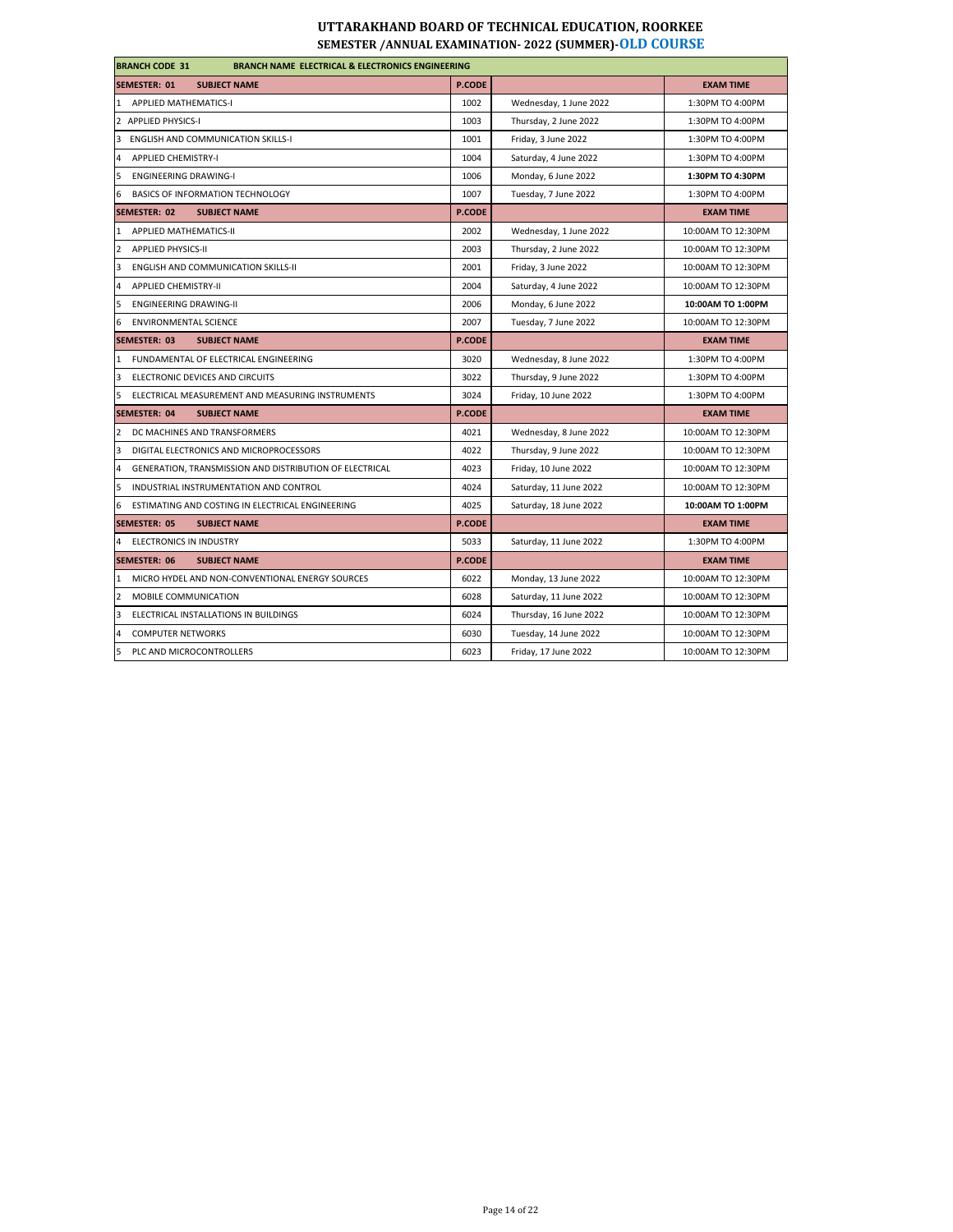| <b>BRANCH CODE 31</b><br><b>BRANCH NAME ELECTRICAL &amp; ELECTRONICS ENGINEERING</b> |               |                        |                    |  |
|--------------------------------------------------------------------------------------|---------------|------------------------|--------------------|--|
| <b>SUBJECT NAME</b><br><b>SEMESTER: 01</b>                                           | P.CODE        |                        | <b>EXAM TIME</b>   |  |
| 1 APPLIED MATHEMATICS-I                                                              | 1002          | Wednesday, 1 June 2022 | 1:30PM TO 4:00PM   |  |
| 2 APPLIED PHYSICS-I                                                                  | 1003          | Thursday, 2 June 2022  | 1:30PM TO 4:00PM   |  |
| 3<br><b>ENGLISH AND COMMUNICATION SKILLS-I</b>                                       | 1001          | Friday, 3 June 2022    | 1:30PM TO 4:00PM   |  |
| $\overline{4}$<br><b>APPLIED CHEMISTRY-I</b>                                         | 1004          | Saturday, 4 June 2022  | 1:30PM TO 4:00PM   |  |
| 5<br><b>ENGINEERING DRAWING-I</b>                                                    | 1006          | Monday, 6 June 2022    | 1:30PM TO 4:30PM   |  |
| 6<br>BASICS OF INFORMATION TECHNOLOGY                                                | 1007          | Tuesday, 7 June 2022   | 1:30PM TO 4:00PM   |  |
| <b>SEMESTER: 02</b><br><b>SUBJECT NAME</b>                                           | <b>P.CODE</b> |                        | <b>EXAM TIME</b>   |  |
| APPLIED MATHEMATICS-II<br>$\mathbf{1}$                                               | 2002          | Wednesday, 1 June 2022 | 10:00AM TO 12:30PM |  |
| $\overline{2}$<br><b>APPLIED PHYSICS-II</b>                                          | 2003          | Thursday, 2 June 2022  | 10:00AM TO 12:30PM |  |
| $\overline{3}$<br><b>ENGLISH AND COMMUNICATION SKILLS-II</b>                         | 2001          | Friday, 3 June 2022    | 10:00AM TO 12:30PM |  |
| $\overline{a}$<br><b>APPLIED CHEMISTRY-II</b>                                        | 2004          | Saturday, 4 June 2022  | 10:00AM TO 12:30PM |  |
| 5<br><b>ENGINEERING DRAWING-II</b>                                                   | 2006          | Monday, 6 June 2022    | 10:00AM TO 1:00PM  |  |
| 6<br><b>ENVIRONMENTAL SCIENCE</b>                                                    | 2007          | Tuesday, 7 June 2022   | 10:00AM TO 12:30PM |  |
| <b>SEMESTER: 03</b><br><b>SUBJECT NAME</b>                                           | <b>P.CODE</b> |                        | <b>EXAM TIME</b>   |  |
| FUNDAMENTAL OF ELECTRICAL ENGINEERING<br>$\mathbf{1}$                                | 3020          | Wednesday, 8 June 2022 | 1:30PM TO 4:00PM   |  |
| 3<br>ELECTRONIC DEVICES AND CIRCUITS                                                 | 3022          | Thursday, 9 June 2022  | 1:30PM TO 4:00PM   |  |
| 5<br>ELECTRICAL MEASUREMENT AND MEASURING INSTRUMENTS                                | 3024          | Friday, 10 June 2022   | 1:30PM TO 4:00PM   |  |
| <b>SEMESTER: 04</b><br><b>SUBJECT NAME</b>                                           | <b>P.CODE</b> |                        | <b>EXAM TIME</b>   |  |
| $\overline{2}$<br>DC MACHINES AND TRANSFORMERS                                       | 4021          | Wednesday, 8 June 2022 | 10:00AM TO 12:30PM |  |
| $\overline{3}$<br>DIGITAL ELECTRONICS AND MICROPROCESSORS                            | 4022          | Thursday, 9 June 2022  | 10:00AM TO 12:30PM |  |
| $\overline{4}$<br>GENERATION, TRANSMISSION AND DISTRIBUTION OF ELECTRICAL            | 4023          | Friday, 10 June 2022   | 10:00AM TO 12:30PM |  |
| 5<br>INDUSTRIAL INSTRUMENTATION AND CONTROL                                          | 4024          | Saturday, 11 June 2022 | 10:00AM TO 12:30PM |  |
| 6<br>ESTIMATING AND COSTING IN ELECTRICAL ENGINEERING                                | 4025          | Saturday, 18 June 2022 | 10:00AM TO 1:00PM  |  |
| SEMESTER: 05<br><b>SUBJECT NAME</b>                                                  | <b>P.CODE</b> |                        | <b>EXAM TIME</b>   |  |
| <b>ELECTRONICS IN INDUSTRY</b><br>4                                                  | 5033          | Saturday, 11 June 2022 | 1:30PM TO 4:00PM   |  |
| <b>SEMESTER: 06</b><br><b>SUBJECT NAME</b>                                           | <b>P.CODE</b> |                        | <b>EXAM TIME</b>   |  |
| MICRO HYDEL AND NON-CONVENTIONAL ENERGY SOURCES<br>$\mathbf{1}$                      | 6022          | Monday, 13 June 2022   | 10:00AM TO 12:30PM |  |
| $\overline{2}$<br>MOBILE COMMUNICATION                                               | 6028          | Saturday, 11 June 2022 | 10:00AM TO 12:30PM |  |
| $\overline{3}$<br>ELECTRICAL INSTALLATIONS IN BUILDINGS                              | 6024          | Thursday, 16 June 2022 | 10:00AM TO 12:30PM |  |
| $\overline{a}$<br><b>COMPUTER NETWORKS</b>                                           | 6030          | Tuesday, 14 June 2022  | 10:00AM TO 12:30PM |  |
| 5<br>PLC AND MICROCONTROLLERS                                                        | 6023          | Friday, 17 June 2022   | 10:00AM TO 12:30PM |  |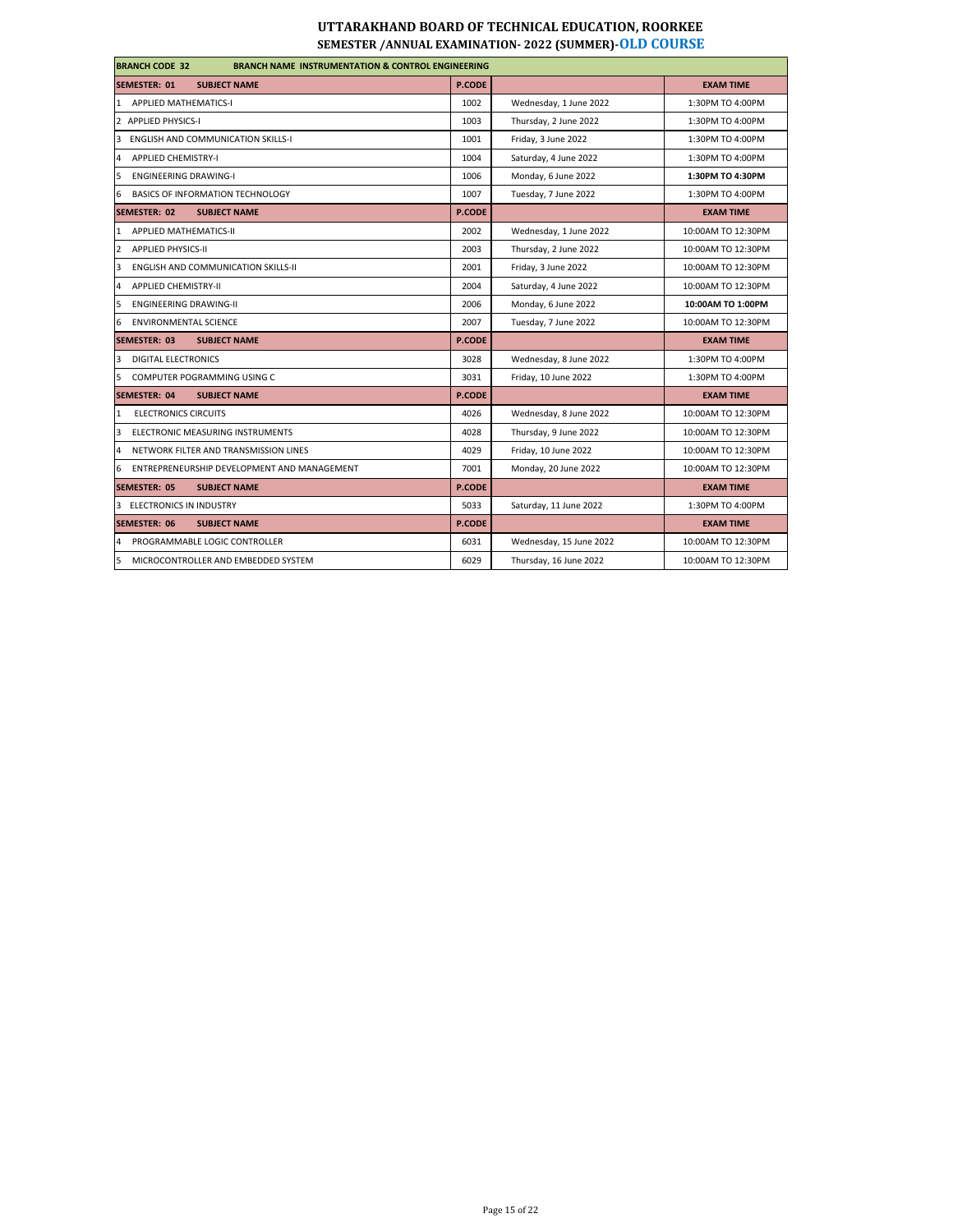| <b>BRANCH CODE 32</b><br><b>BRANCH NAME INSTRUMENTATION &amp; CONTROL ENGINEERING</b> |               |                         |                    |  |
|---------------------------------------------------------------------------------------|---------------|-------------------------|--------------------|--|
| <b>SEMESTER: 01</b><br><b>SUBJECT NAME</b>                                            | <b>P.CODE</b> |                         | <b>EXAM TIME</b>   |  |
| <b>APPLIED MATHEMATICS-I</b><br>$\mathbf{1}$                                          | 1002          | Wednesday, 1 June 2022  | 1:30PM TO 4:00PM   |  |
| 2 APPLIED PHYSICS-I                                                                   | 1003          | Thursday, 2 June 2022   | 1:30PM TO 4:00PM   |  |
| <b>ENGLISH AND COMMUNICATION SKILLS-I</b><br>3                                        | 1001          | Friday, 3 June 2022     | 1:30PM TO 4:00PM   |  |
| $\overline{4}$<br><b>APPLIED CHEMISTRY-I</b>                                          | 1004          | Saturday, 4 June 2022   | 1:30PM TO 4:00PM   |  |
| 5<br><b>ENGINEERING DRAWING-I</b>                                                     | 1006          | Monday, 6 June 2022     | 1:30PM TO 4:30PM   |  |
| 6<br>BASICS OF INFORMATION TECHNOLOGY                                                 | 1007          | Tuesday, 7 June 2022    | 1:30PM TO 4:00PM   |  |
| <b>SEMESTER: 02</b><br><b>SUBJECT NAME</b>                                            | <b>P.CODE</b> |                         | <b>EXAM TIME</b>   |  |
| APPLIED MATHEMATICS-II<br>$\mathbf{1}$                                                | 2002          | Wednesday, 1 June 2022  | 10:00AM TO 12:30PM |  |
| $\overline{2}$<br><b>APPLIED PHYSICS-II</b>                                           | 2003          | Thursday, 2 June 2022   | 10:00AM TO 12:30PM |  |
| <b>ENGLISH AND COMMUNICATION SKILLS-II</b><br>3                                       | 2001          | Friday, 3 June 2022     | 10:00AM TO 12:30PM |  |
| <b>APPLIED CHEMISTRY-II</b><br>4                                                      | 2004          | Saturday, 4 June 2022   | 10:00AM TO 12:30PM |  |
| 5<br><b>ENGINEERING DRAWING-II</b>                                                    | 2006          | Monday, 6 June 2022     | 10:00AM TO 1:00PM  |  |
| <b>ENVIRONMENTAL SCIENCE</b><br>6                                                     | 2007          | Tuesday, 7 June 2022    | 10:00AM TO 12:30PM |  |
| SEMESTER: 03<br><b>SUBJECT NAME</b>                                                   | <b>P.CODE</b> |                         | <b>EXAM TIME</b>   |  |
| <b>DIGITAL ELECTRONICS</b><br>3                                                       | 3028          | Wednesday, 8 June 2022  | 1:30PM TO 4:00PM   |  |
| COMPUTER POGRAMMING USING C<br>5                                                      | 3031          | Friday, 10 June 2022    | 1:30PM TO 4:00PM   |  |
| <b>SEMESTER: 04</b><br><b>SUBJECT NAME</b>                                            | <b>P.CODE</b> |                         | <b>EXAM TIME</b>   |  |
| <b>ELECTRONICS CIRCUITS</b><br>1                                                      | 4026          | Wednesday, 8 June 2022  | 10:00AM TO 12:30PM |  |
| $\overline{3}$<br>ELECTRONIC MEASURING INSTRUMENTS                                    | 4028          | Thursday, 9 June 2022   | 10:00AM TO 12:30PM |  |
| 4<br>NETWORK FILTER AND TRANSMISSION LINES                                            | 4029          | Friday, 10 June 2022    | 10:00AM TO 12:30PM |  |
| ENTREPRENEURSHIP DEVELOPMENT AND MANAGEMENT<br>6                                      | 7001          | Monday, 20 June 2022    | 10:00AM TO 12:30PM |  |
| <b>SEMESTER: 05</b><br><b>SUBJECT NAME</b>                                            | <b>P.CODE</b> |                         | <b>EXAM TIME</b>   |  |
| 3 ELECTRONICS IN INDUSTRY                                                             | 5033          | Saturday, 11 June 2022  | 1:30PM TO 4:00PM   |  |
| <b>SEMESTER: 06</b><br><b>SUBJECT NAME</b>                                            | <b>P.CODE</b> |                         | <b>EXAM TIME</b>   |  |
| PROGRAMMABLE LOGIC CONTROLLER<br>4                                                    | 6031          | Wednesday, 15 June 2022 | 10:00AM TO 12:30PM |  |
| 5<br>MICROCONTROLLER AND EMBEDDED SYSTEM                                              | 6029          | Thursday, 16 June 2022  | 10:00AM TO 12:30PM |  |
|                                                                                       |               |                         |                    |  |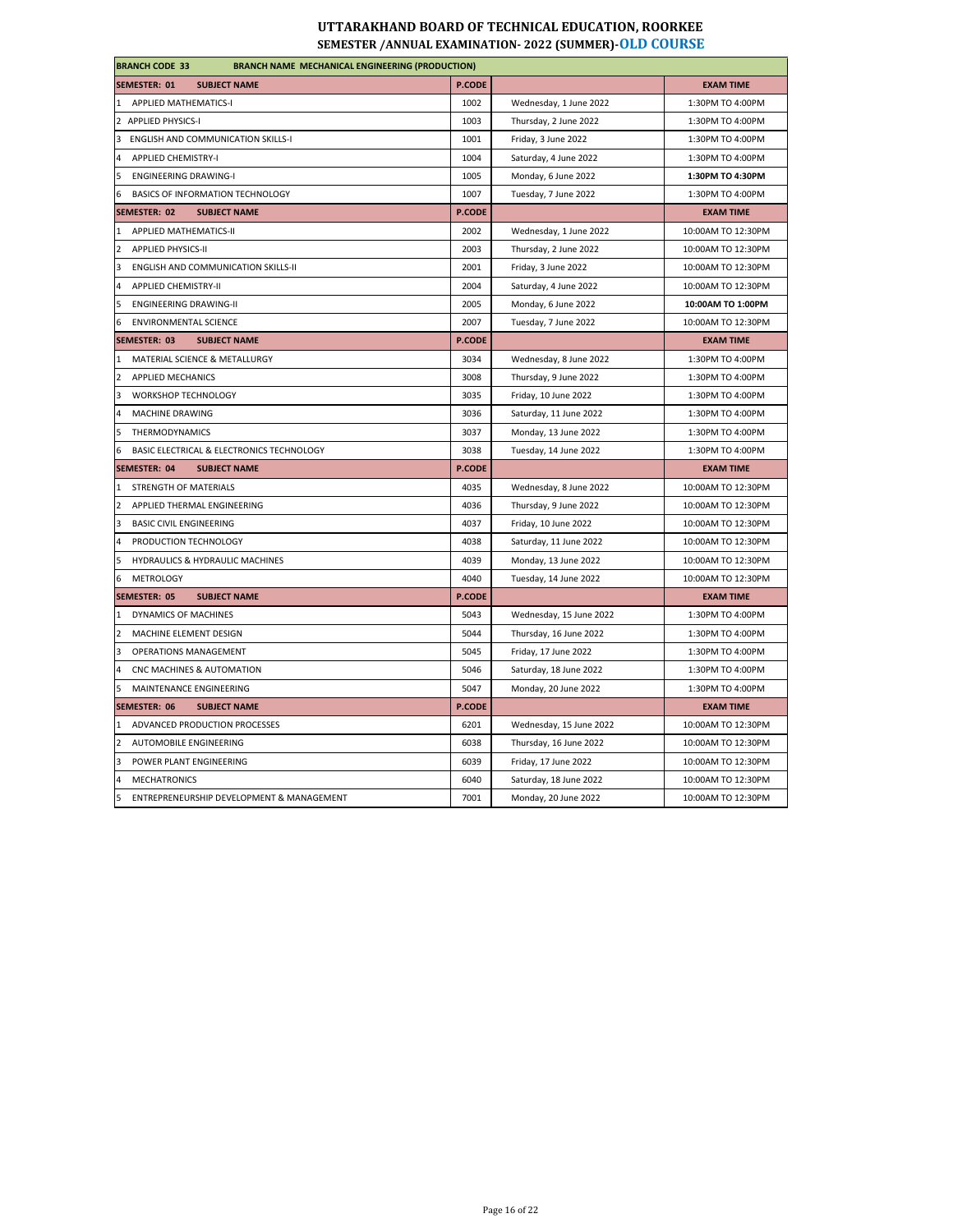| <b>BRANCH CODE 33</b><br><b>BRANCH NAME MECHANICAL ENGINEERING (PRODUCTION)</b> |               |                         |                    |
|---------------------------------------------------------------------------------|---------------|-------------------------|--------------------|
| <b>SEMESTER: 01</b><br><b>SUBJECT NAME</b>                                      | P.CODE        |                         | <b>EXAM TIME</b>   |
| 1 APPLIED MATHEMATICS-I                                                         | 1002          | Wednesday, 1 June 2022  | 1:30PM TO 4:00PM   |
| 2 APPLIED PHYSICS-I                                                             | 1003          | Thursday, 2 June 2022   | 1:30PM TO 4:00PM   |
| ENGLISH AND COMMUNICATION SKILLS-I<br>3                                         | 1001          | Friday, 3 June 2022     | 1:30PM TO 4:00PM   |
| $\overline{4}$<br><b>APPLIED CHEMISTRY-I</b>                                    | 1004          | Saturday, 4 June 2022   | 1:30PM TO 4:00PM   |
| 5<br><b>ENGINEERING DRAWING-I</b>                                               | 1005          | Monday, 6 June 2022     | 1:30PM TO 4:30PM   |
| 6<br>BASICS OF INFORMATION TECHNOLOGY                                           | 1007          | Tuesday, 7 June 2022    | 1:30PM TO 4:00PM   |
| SEMESTER: 02<br><b>SUBJECT NAME</b>                                             | <b>P.CODE</b> |                         | <b>EXAM TIME</b>   |
| APPLIED MATHEMATICS-II<br>$\mathbf{1}$                                          | 2002          | Wednesday, 1 June 2022  | 10:00AM TO 12:30PM |
| $\overline{2}$<br><b>APPLIED PHYSICS-II</b>                                     | 2003          | Thursday, 2 June 2022   | 10:00AM TO 12:30PM |
| 3<br>ENGLISH AND COMMUNICATION SKILLS-II                                        | 2001          | Friday, 3 June 2022     | 10:00AM TO 12:30PM |
| 4<br><b>APPLIED CHEMISTRY-II</b>                                                | 2004          | Saturday, 4 June 2022   | 10:00AM TO 12:30PM |
| 5<br><b>ENGINEERING DRAWING-II</b>                                              | 2005          | Monday, 6 June 2022     | 10:00AM TO 1:00PM  |
| <b>ENVIRONMENTAL SCIENCE</b><br>6                                               | 2007          | Tuesday, 7 June 2022    | 10:00AM TO 12:30PM |
| <b>SEMESTER: 03</b><br><b>SUBJECT NAME</b>                                      | <b>P.CODE</b> |                         | <b>EXAM TIME</b>   |
| MATERIAL SCIENCE & METALLURGY<br>1                                              | 3034          | Wednesday, 8 June 2022  | 1:30PM TO 4:00PM   |
| $\overline{2}$<br><b>APPLIED MECHANICS</b>                                      | 3008          | Thursday, 9 June 2022   | 1:30PM TO 4:00PM   |
| 3<br>WORKSHOP TECHNOLOGY                                                        | 3035          | Friday, 10 June 2022    | 1:30PM TO 4:00PM   |
| $\overline{a}$<br>MACHINE DRAWING                                               | 3036          | Saturday, 11 June 2022  | 1:30PM TO 4:00PM   |
| 5<br><b>THERMODYNAMICS</b>                                                      | 3037          | Monday, 13 June 2022    | 1:30PM TO 4:00PM   |
| 6<br>BASIC ELECTRICAL & ELECTRONICS TECHNOLOGY                                  | 3038          | Tuesday, 14 June 2022   | 1:30PM TO 4:00PM   |
| <b>SEMESTER: 04</b><br><b>SUBJECT NAME</b>                                      | <b>P.CODE</b> |                         | <b>EXAM TIME</b>   |
| STRENGTH OF MATERIALS<br>11                                                     | 4035          | Wednesday, 8 June 2022  | 10:00AM TO 12:30PM |
| $\overline{2}$<br>APPLIED THERMAL ENGINEERING                                   | 4036          | Thursday, 9 June 2022   | 10:00AM TO 12:30PM |
| 3<br><b>BASIC CIVIL ENGINEERING</b>                                             | 4037          | Friday, 10 June 2022    | 10:00AM TO 12:30PM |
| $\overline{4}$<br>PRODUCTION TECHNOLOGY                                         | 4038          | Saturday, 11 June 2022  | 10:00AM TO 12:30PM |
| 5<br>HYDRAULICS & HYDRAULIC MACHINES                                            | 4039          | Monday, 13 June 2022    | 10:00AM TO 12:30PM |
| 6<br><b>METROLOGY</b>                                                           | 4040          | Tuesday, 14 June 2022   | 10:00AM TO 12:30PM |
| <b>SEMESTER: 05</b><br><b>SUBJECT NAME</b>                                      | P.CODE        |                         | <b>EXAM TIME</b>   |
| $\mathbf{1}$<br>DYNAMICS OF MACHINES                                            | 5043          | Wednesday, 15 June 2022 | 1:30PM TO 4:00PM   |
| $\overline{2}$<br>MACHINE ELEMENT DESIGN                                        | 5044          | Thursday, 16 June 2022  | 1:30PM TO 4:00PM   |
| 3<br><b>OPERATIONS MANAGEMENT</b>                                               | 5045          | Friday, 17 June 2022    | 1:30PM TO 4:00PM   |
| $\overline{4}$<br>CNC MACHINES & AUTOMATION                                     | 5046          | Saturday, 18 June 2022  | 1:30PM TO 4:00PM   |
| 5<br>MAINTENANCE ENGINEERING                                                    | 5047          | Monday, 20 June 2022    | 1:30PM TO 4:00PM   |
| SEMESTER: 06<br><b>SUBJECT NAME</b>                                             | <b>P.CODE</b> |                         | <b>EXAM TIME</b>   |
| $\mathbf{1}$<br>ADVANCED PRODUCTION PROCESSES                                   | 6201          | Wednesday, 15 June 2022 | 10:00AM TO 12:30PM |
| $\overline{2}$<br>AUTOMOBILE ENGINEERING                                        | 6038          | Thursday, 16 June 2022  | 10:00AM TO 12:30PM |
| 3<br>POWER PLANT ENGINEERING                                                    | 6039          | Friday, 17 June 2022    | 10:00AM TO 12:30PM |
| $\overline{4}$<br><b>MECHATRONICS</b>                                           | 6040          | Saturday, 18 June 2022  | 10:00AM TO 12:30PM |
| 5<br>ENTREPRENEURSHIP DEVELOPMENT & MANAGEMENT                                  | 7001          | Monday, 20 June 2022    | 10:00AM TO 12:30PM |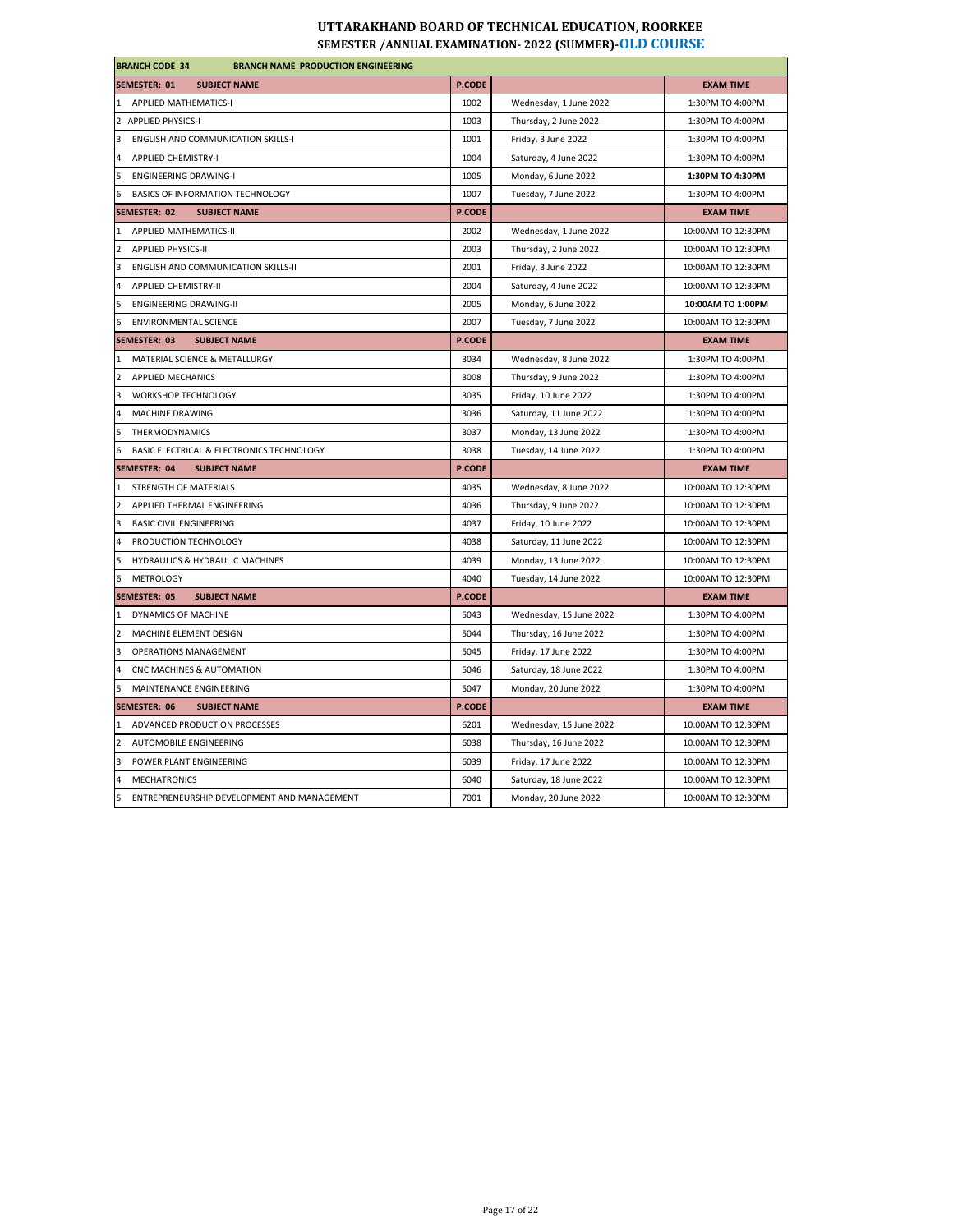| <b>BRANCH CODE 34</b><br><b>BRANCH NAME PRODUCTION ENGINEERING</b> |               |                         |                    |
|--------------------------------------------------------------------|---------------|-------------------------|--------------------|
| <b>SEMESTER: 01</b><br><b>SUBJECT NAME</b>                         | <b>P.CODE</b> |                         | <b>EXAM TIME</b>   |
| 1 APPLIED MATHEMATICS-I                                            | 1002          | Wednesday, 1 June 2022  | 1:30PM TO 4:00PM   |
| 2 APPLIED PHYSICS-I                                                | 1003          | Thursday, 2 June 2022   | 1:30PM TO 4:00PM   |
| 3<br><b>ENGLISH AND COMMUNICATION SKILLS-I</b>                     | 1001          | Friday, 3 June 2022     | 1:30PM TO 4:00PM   |
| 4<br><b>APPLIED CHEMISTRY-I</b>                                    | 1004          | Saturday, 4 June 2022   | 1:30PM TO 4:00PM   |
| 5<br><b>ENGINEERING DRAWING-I</b>                                  | 1005          | Monday, 6 June 2022     | 1:30PM TO 4:30PM   |
| 6<br><b>BASICS OF INFORMATION TECHNOLOGY</b>                       | 1007          | Tuesday, 7 June 2022    | 1:30PM TO 4:00PM   |
| <b>SEMESTER: 02</b><br><b>SUBJECT NAME</b>                         | <b>P.CODE</b> |                         | <b>EXAM TIME</b>   |
| $\mathbf{1}$<br>APPLIED MATHEMATICS-II                             | 2002          | Wednesday, 1 June 2022  | 10:00AM TO 12:30PM |
| $\overline{2}$<br><b>APPLIED PHYSICS-II</b>                        | 2003          | Thursday, 2 June 2022   | 10:00AM TO 12:30PM |
| 3<br>ENGLISH AND COMMUNICATION SKILLS-II                           | 2001          | Friday, 3 June 2022     | 10:00AM TO 12:30PM |
| $\overline{a}$<br><b>APPLIED CHEMISTRY-II</b>                      | 2004          | Saturday, 4 June 2022   | 10:00AM TO 12:30PM |
| 5<br><b>ENGINEERING DRAWING-II</b>                                 | 2005          | Monday, 6 June 2022     | 10:00AM TO 1:00PM  |
| 6<br><b>ENVIRONMENTAL SCIENCE</b>                                  | 2007          | Tuesday, 7 June 2022    | 10:00AM TO 12:30PM |
| <b>SEMESTER: 03</b><br><b>SUBJECT NAME</b>                         | P.CODE        |                         | <b>EXAM TIME</b>   |
| MATERIAL SCIENCE & METALLURGY<br>$\mathbf{1}$                      | 3034          | Wednesday, 8 June 2022  | 1:30PM TO 4:00PM   |
| 2 APPLIED MECHANICS                                                | 3008          | Thursday, 9 June 2022   | 1:30PM TO 4:00PM   |
| 3<br>WORKSHOP TECHNOLOGY                                           | 3035          | Friday, 10 June 2022    | 1:30PM TO 4:00PM   |
| 4<br>MACHINE DRAWING                                               | 3036          | Saturday, 11 June 2022  | 1:30PM TO 4:00PM   |
| 5<br>THERMODYNAMICS                                                | 3037          | Monday, 13 June 2022    | 1:30PM TO 4:00PM   |
| 6<br>BASIC ELECTRICAL & ELECTRONICS TECHNOLOGY                     | 3038          | Tuesday, 14 June 2022   | 1:30PM TO 4:00PM   |
| SEMESTER: 04<br><b>SUBJECT NAME</b>                                | <b>P.CODE</b> |                         | <b>EXAM TIME</b>   |
| 1 STRENGTH OF MATERIALS                                            | 4035          | Wednesday, 8 June 2022  | 10:00AM TO 12:30PM |
| $\overline{2}$<br>APPLIED THERMAL ENGINEERING                      | 4036          | Thursday, 9 June 2022   | 10:00AM TO 12:30PM |
| 3<br><b>BASIC CIVIL ENGINEERING</b>                                | 4037          | Friday, 10 June 2022    | 10:00AM TO 12:30PM |
| $\overline{4}$<br>PRODUCTION TECHNOLOGY                            | 4038          | Saturday, 11 June 2022  | 10:00AM TO 12:30PM |
| 5<br><b>HYDRAULICS &amp; HYDRAULIC MACHINES</b>                    | 4039          | Monday, 13 June 2022    | 10:00AM TO 12:30PM |
| METROLOGY<br>6                                                     | 4040          | Tuesday, 14 June 2022   | 10:00AM TO 12:30PM |
| SEMESTER: 05<br><b>SUBJECT NAME</b>                                | <b>P.CODE</b> |                         | <b>EXAM TIME</b>   |
| 1 DYNAMICS OF MACHINE                                              | 5043          | Wednesday, 15 June 2022 | 1:30PM TO 4:00PM   |
| $\overline{2}$<br>MACHINE ELEMENT DESIGN                           | 5044          | Thursday, 16 June 2022  | 1:30PM TO 4:00PM   |
| 3<br><b>OPERATIONS MANAGEMENT</b>                                  | 5045          | Friday, 17 June 2022    | 1:30PM TO 4:00PM   |
| 4<br>CNC MACHINES & AUTOMATION                                     | 5046          | Saturday, 18 June 2022  | 1:30PM TO 4:00PM   |
| 5<br>MAINTENANCE ENGINEERING                                       | 5047          | Monday, 20 June 2022    | 1:30PM TO 4:00PM   |
| SEMESTER: 06<br><b>SUBJECT NAME</b>                                | <b>P.CODE</b> |                         | <b>EXAM TIME</b>   |
| ADVANCED PRODUCTION PROCESSES<br>$\mathbf{1}$                      | 6201          | Wednesday, 15 June 2022 | 10:00AM TO 12:30PM |
| $\overline{2}$<br>AUTOMOBILE ENGINEERING                           | 6038          | Thursday, 16 June 2022  | 10:00AM TO 12:30PM |
| 3<br>POWER PLANT ENGINEERING                                       | 6039          | Friday, 17 June 2022    | 10:00AM TO 12:30PM |
| 4<br><b>MECHATRONICS</b>                                           | 6040          | Saturday, 18 June 2022  | 10:00AM TO 12:30PM |
| 5<br>ENTREPRENEURSHIP DEVELOPMENT AND MANAGEMENT                   | 7001          | Monday, 20 June 2022    | 10:00AM TO 12:30PM |
|                                                                    |               |                         |                    |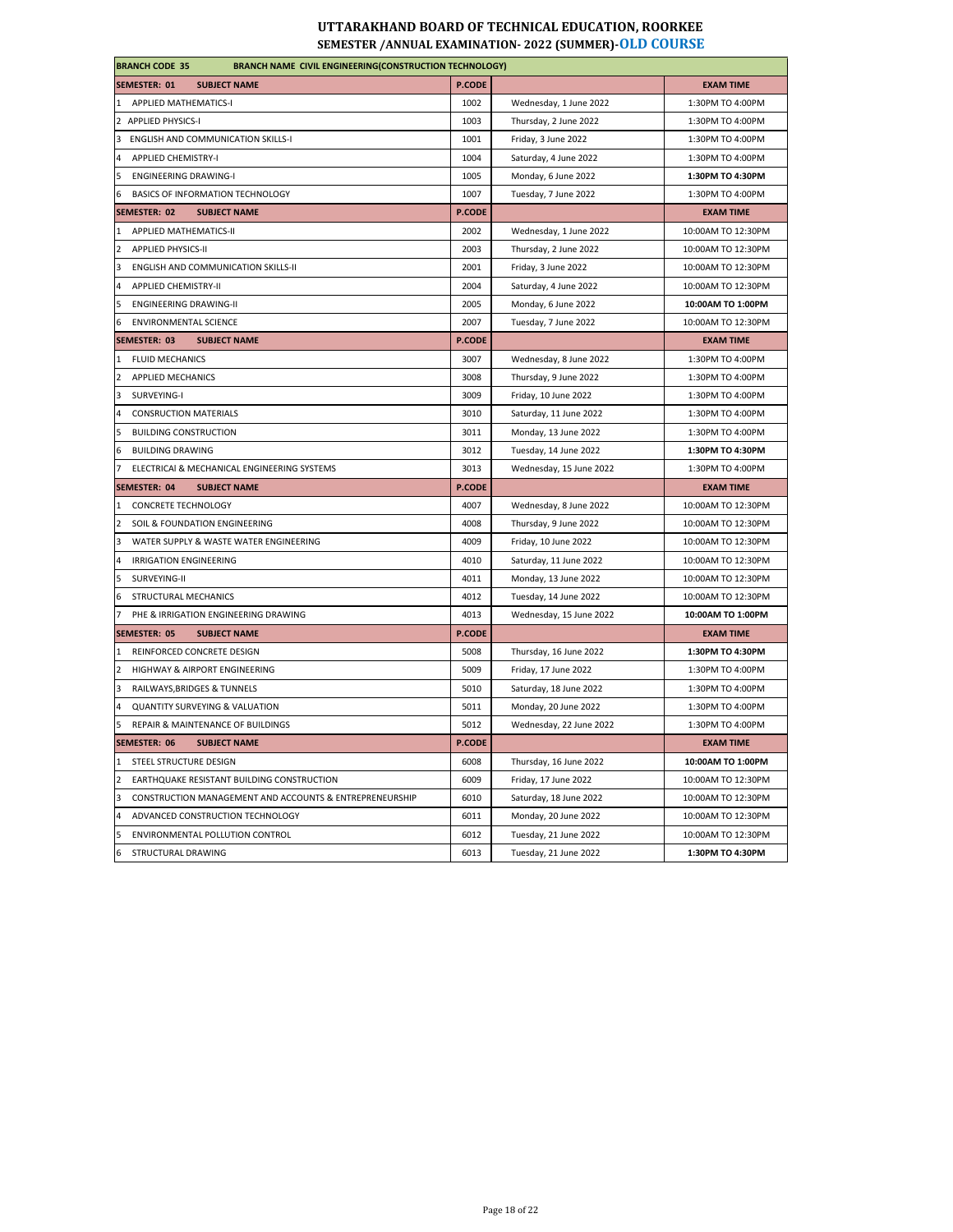| <b>BRANCH CODE 35</b><br><b>BRANCH NAME CIVIL ENGINEERING(CONSTRUCTION TECHNOLOGY)</b> |               |                         |                    |  |
|----------------------------------------------------------------------------------------|---------------|-------------------------|--------------------|--|
| <b>SEMESTER: 01</b><br><b>SUBJECT NAME</b>                                             | <b>P.CODE</b> |                         | <b>EXAM TIME</b>   |  |
| APPLIED MATHEMATICS-I<br>1                                                             | 1002          | Wednesday, 1 June 2022  | 1:30PM TO 4:00PM   |  |
| 2 APPLIED PHYSICS-I                                                                    | 1003          | Thursday, 2 June 2022   | 1:30PM TO 4:00PM   |  |
| 3<br>ENGLISH AND COMMUNICATION SKILLS-I                                                | 1001          | Friday, 3 June 2022     | 1:30PM TO 4:00PM   |  |
| <b>APPLIED CHEMISTRY-I</b>                                                             | 1004          | Saturday, 4 June 2022   | 1:30PM TO 4:00PM   |  |
| <b>ENGINEERING DRAWING-I</b>                                                           | 1005          | Monday, 6 June 2022     | 1:30PM TO 4:30PM   |  |
| BASICS OF INFORMATION TECHNOLOGY<br>6                                                  | 1007          | Tuesday, 7 June 2022    | 1:30PM TO 4:00PM   |  |
| <b>SEMESTER: 02</b><br><b>SUBJECT NAME</b>                                             | P.CODE        |                         | <b>EXAM TIME</b>   |  |
| APPLIED MATHEMATICS-II<br>$\mathbf{1}$                                                 | 2002          | Wednesday, 1 June 2022  | 10:00AM TO 12:30PM |  |
| $\overline{2}$<br><b>APPLIED PHYSICS-II</b>                                            | 2003          | Thursday, 2 June 2022   | 10:00AM TO 12:30PM |  |
| 3<br>ENGLISH AND COMMUNICATION SKILLS-II                                               | 2001          | Friday, 3 June 2022     | 10:00AM TO 12:30PM |  |
| 4<br><b>APPLIED CHEMISTRY-II</b>                                                       | 2004          | Saturday, 4 June 2022   | 10:00AM TO 12:30PM |  |
| 5<br><b>ENGINEERING DRAWING-II</b>                                                     | 2005          | Monday, 6 June 2022     | 10:00AM TO 1:00PM  |  |
| 6<br><b>ENVIRONMENTAL SCIENCE</b>                                                      | 2007          | Tuesday, 7 June 2022    | 10:00AM TO 12:30PM |  |
| <b>SEMESTER: 03</b><br><b>SUBJECT NAME</b>                                             | <b>P.CODE</b> |                         | <b>EXAM TIME</b>   |  |
| <b>FLUID MECHANICS</b><br>1                                                            | 3007          | Wednesday, 8 June 2022  | 1:30PM TO 4:00PM   |  |
| 2<br>APPLIED MECHANICS                                                                 | 3008          | Thursday, 9 June 2022   | 1:30PM TO 4:00PM   |  |
| 3<br>SURVEYING-I                                                                       | 3009          | Friday, 10 June 2022    | 1:30PM TO 4:00PM   |  |
| <b>CONSRUCTION MATERIALS</b><br>$\Delta$                                               | 3010          | Saturday, 11 June 2022  | 1:30PM TO 4:00PM   |  |
| <b>BUILDING CONSTRUCTION</b><br>5                                                      | 3011          | Monday, 13 June 2022    | 1:30PM TO 4:00PM   |  |
| 6<br><b>BUILDING DRAWING</b>                                                           | 3012          | Tuesday, 14 June 2022   | 1:30PM TO 4:30PM   |  |
| 7<br>ELECTRICAI & MECHANICAL ENGINEERING SYSTEMS                                       | 3013          | Wednesday, 15 June 2022 | 1:30PM TO 4:00PM   |  |
| SEMESTER: 04<br><b>SUBJECT NAME</b>                                                    | <b>P.CODE</b> |                         | <b>EXAM TIME</b>   |  |
| $\mathbf{1}$<br><b>CONCRETE TECHNOLOGY</b>                                             | 4007          | Wednesday, 8 June 2022  | 10:00AM TO 12:30PM |  |
| $\overline{2}$<br>SOIL & FOUNDATION ENGINEERING                                        | 4008          | Thursday, 9 June 2022   | 10:00AM TO 12:30PM |  |
| WATER SUPPLY & WASTE WATER ENGINEERING<br>3                                            | 4009          | Friday, 10 June 2022    | 10:00AM TO 12:30PM |  |
| $\overline{4}$<br><b>IRRIGATION ENGINEERING</b>                                        | 4010          | Saturday, 11 June 2022  | 10:00AM TO 12:30PM |  |
| 5<br>SURVEYING-II                                                                      | 4011          | Monday, 13 June 2022    | 10:00AM TO 12:30PM |  |
| STRUCTURAL MECHANICS<br>6                                                              | 4012          | Tuesday, 14 June 2022   | 10:00AM TO 12:30PM |  |
| PHE & IRRIGATION ENGINEERING DRAWING<br>$\overline{7}$                                 | 4013          | Wednesday, 15 June 2022 | 10:00AM TO 1:00PM  |  |
| <b>SEMESTER: 05</b><br><b>SUBJECT NAME</b>                                             | <b>P.CODE</b> |                         | <b>EXAM TIME</b>   |  |
| REINFORCED CONCRETE DESIGN<br>$\mathbf{1}$                                             | 5008          | Thursday, 16 June 2022  | 1:30PM TO 4:30PM   |  |
| HIGHWAY & AIRPORT ENGINEERING                                                          | 5009          | Friday, 17 June 2022    | 1:30PM TO 4:00PM   |  |
| 3<br>RAILWAYS, BRIDGES & TUNNELS                                                       | 5010          | Saturday, 18 June 2022  | 1:30PM TO 4:00PM   |  |
| $\overline{4}$<br><b>QUANTITY SURVEYING &amp; VALUATION</b>                            | 5011          | Monday, 20 June 2022    | 1:30PM TO 4:00PM   |  |
| REPAIR & MAINTENANCE OF BUILDINGS<br>5                                                 | 5012          | Wednesday, 22 June 2022 | 1:30PM TO 4:00PM   |  |
| SEMESTER: 06<br><b>SUBJECT NAME</b>                                                    | <b>P.CODE</b> |                         | <b>EXAM TIME</b>   |  |
| STEEL STRUCTURE DESIGN<br>$\mathbf{1}$                                                 | 6008          | Thursday, 16 June 2022  | 10:00AM TO 1:00PM  |  |
| EARTHQUAKE RESISTANT BUILDING CONSTRUCTION<br>$\overline{2}$                           | 6009          | Friday, 17 June 2022    | 10:00AM TO 12:30PM |  |
|                                                                                        |               |                         |                    |  |
| CONSTRUCTION MANAGEMENT AND ACCOUNTS & ENTREPRENEURSHIP<br>з                           | 6010          | Saturday, 18 June 2022  | 10:00AM TO 12:30PM |  |
| 4<br>ADVANCED CONSTRUCTION TECHNOLOGY                                                  | 6011          | Monday, 20 June 2022    | 10:00AM TO 12:30PM |  |
| 5<br>ENVIRONMENTAL POLLUTION CONTROL                                                   | 6012          | Tuesday, 21 June 2022   | 10:00AM TO 12:30PM |  |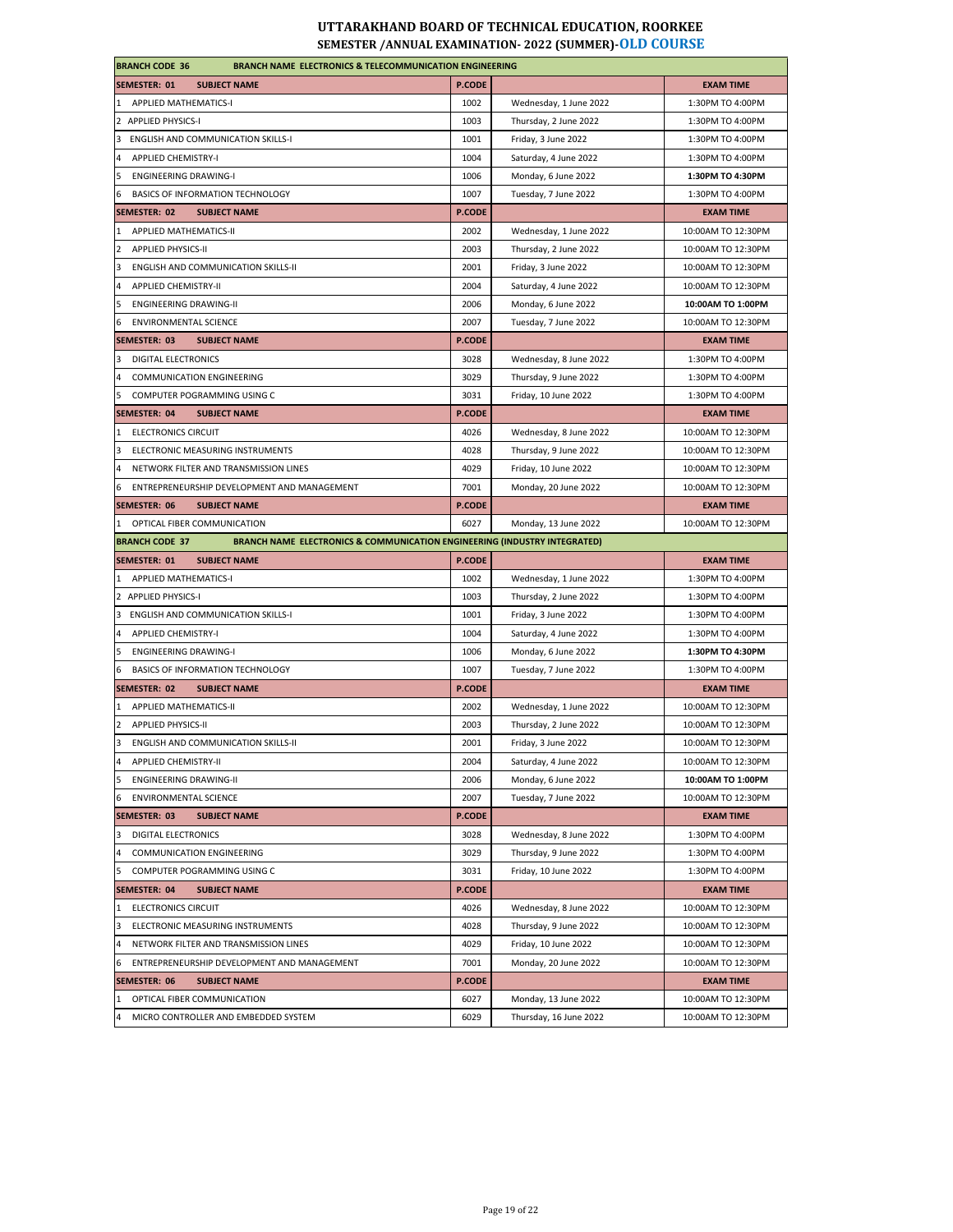| <b>BRANCH CODE 36</b><br><b>BRANCH NAME ELECTRONICS &amp; TELECOMMUNICATION ENGINEERING</b>                   |               |                        |                    |
|---------------------------------------------------------------------------------------------------------------|---------------|------------------------|--------------------|
| <b>SEMESTER: 01</b><br><b>SUBJECT NAME</b>                                                                    | <b>P.CODE</b> |                        | <b>EXAM TIME</b>   |
| 1 APPLIED MATHEMATICS-I                                                                                       | 1002          | Wednesday, 1 June 2022 | 1:30PM TO 4:00PM   |
| 2 APPLIED PHYSICS-I                                                                                           | 1003          | Thursday, 2 June 2022  | 1:30PM TO 4:00PM   |
| <b>ENGLISH AND COMMUNICATION SKILLS-I</b><br>3                                                                | 1001          | Friday, 3 June 2022    | 1:30PM TO 4:00PM   |
| <b>APPLIED CHEMISTRY-I</b><br>4                                                                               | 1004          | Saturday, 4 June 2022  | 1:30PM TO 4:00PM   |
| 5<br><b>ENGINEERING DRAWING-I</b>                                                                             | 1006          | Monday, 6 June 2022    | 1:30PM TO 4:30PM   |
| 6<br>BASICS OF INFORMATION TECHNOLOGY                                                                         | 1007          | Tuesday, 7 June 2022   | 1:30PM TO 4:00PM   |
| SEMESTER: 02<br><b>SUBJECT NAME</b>                                                                           | <b>P.CODE</b> |                        | <b>EXAM TIME</b>   |
| 1<br><b>APPLIED MATHEMATICS-II</b>                                                                            | 2002          | Wednesday, 1 June 2022 | 10:00AM TO 12:30PM |
| $\overline{2}$<br><b>APPLIED PHYSICS-II</b>                                                                   | 2003          | Thursday, 2 June 2022  | 10:00AM TO 12:30PM |
| 3<br>ENGLISH AND COMMUNICATION SKILLS-II                                                                      | 2001          | Friday, 3 June 2022    | 10:00AM TO 12:30PM |
| <b>APPLIED CHEMISTRY-II</b><br>4                                                                              | 2004          | Saturday, 4 June 2022  | 10:00AM TO 12:30PM |
| 5<br><b>ENGINEERING DRAWING-II</b>                                                                            | 2006          | Monday, 6 June 2022    | 10:00AM TO 1:00PM  |
| 6<br><b>ENVIRONMENTAL SCIENCE</b>                                                                             | 2007          | Tuesday, 7 June 2022   | 10:00AM TO 12:30PM |
| <b>SEMESTER: 03</b><br><b>SUBJECT NAME</b>                                                                    | <b>P.CODE</b> |                        | <b>EXAM TIME</b>   |
| 3<br>DIGITAL ELECTRONICS                                                                                      | 3028          | Wednesday, 8 June 2022 | 1:30PM TO 4:00PM   |
| 4<br><b>COMMUNICATION ENGINEERING</b>                                                                         | 3029          | Thursday, 9 June 2022  | 1:30PM TO 4:00PM   |
| 5<br>COMPUTER POGRAMMING USING C                                                                              | 3031          | Friday, 10 June 2022   | 1:30PM TO 4:00PM   |
| <b>SEMESTER: 04</b><br><b>SUBJECT NAME</b>                                                                    | <b>P.CODE</b> |                        | <b>EXAM TIME</b>   |
| <b>ELECTRONICS CIRCUIT</b><br>$\mathbf{1}$                                                                    | 4026          | Wednesday, 8 June 2022 | 10:00AM TO 12:30PM |
| 3<br>ELECTRONIC MEASURING INSTRUMENTS                                                                         | 4028          | Thursday, 9 June 2022  | 10:00AM TO 12:30PM |
| NETWORK FILTER AND TRANSMISSION LINES<br>4                                                                    | 4029          | Friday, 10 June 2022   | 10:00AM TO 12:30PM |
| ENTREPRENEURSHIP DEVELOPMENT AND MANAGEMENT<br>6                                                              | 7001          | Monday, 20 June 2022   | 10:00AM TO 12:30PM |
| <b>SEMESTER: 06</b><br><b>SUBJECT NAME</b>                                                                    | P.CODE        |                        | <b>EXAM TIME</b>   |
| 1 OPTICAL FIBER COMMUNICATION                                                                                 | 6027          | Monday, 13 June 2022   | 10:00AM TO 12:30PM |
| <b>BRANCH CODE 37</b><br><b>BRANCH NAME ELECTRONICS &amp; COMMUNICATION ENGINEERING (INDUSTRY INTEGRATED)</b> |               |                        |                    |
| <b>SEMESTER: 01</b><br><b>SUBJECT NAME</b>                                                                    | P.CODE        |                        | <b>EXAM TIME</b>   |
| APPLIED MATHEMATICS-I                                                                                         | 1002          | Wednesday, 1 June 2022 | 1:30PM TO 4:00PM   |
| 2 APPLIED PHYSICS-I                                                                                           | 1003          | Thursday, 2 June 2022  | 1:30PM TO 4:00PM   |
| 3<br><b>ENGLISH AND COMMUNICATION SKILLS-I</b>                                                                | 1001          | Friday, 3 June 2022    | 1:30PM TO 4:00PM   |
| <b>APPLIED CHEMISTRY-I</b><br>4                                                                               | 1004          | Saturday, 4 June 2022  | 1:30PM TO 4:00PM   |
| 5<br><b>ENGINEERING DRAWING-I</b>                                                                             | 1006          | Monday, 6 June 2022    | 1:30PM TO 4:30PM   |
| 6<br><b>BASICS OF INFORMATION TECHNOLOGY</b>                                                                  | 1007          | Tuesday, 7 June 2022   | 1:30PM TO 4:00PM   |
| <b>SEMESTER: 02</b><br><b>SUBJECT NAME</b>                                                                    | <b>P.CODE</b> |                        | <b>EXAM TIME</b>   |
| 1<br>APPLIED MATHEMATICS-II                                                                                   | 2002          | Wednesday, 1 June 2022 | 10:00AM TO 12:30PM |
| <b>APPLIED PHYSICS-II</b><br>$\overline{2}$                                                                   | 2003          | Thursday, 2 June 2022  | 10:00AM TO 12:30PM |
| 3<br>ENGLISH AND COMMUNICATION SKILLS-II                                                                      | 2001          | Friday, 3 June 2022    | 10:00AM TO 12:30PM |
| 4<br>APPLIED CHEMISTRY-II                                                                                     | 2004          | Saturday, 4 June 2022  | 10:00AM TO 12:30PM |
| 5<br><b>ENGINEERING DRAWING-II</b>                                                                            | 2006          | Monday, 6 June 2022    | 10:00AM TO 1:00PM  |
| 6<br><b>ENVIRONMENTAL SCIENCE</b>                                                                             | 2007          | Tuesday, 7 June 2022   | 10:00AM TO 12:30PM |
| SEMESTER: 03<br><b>SUBJECT NAME</b>                                                                           | <b>P.CODE</b> |                        | <b>EXAM TIME</b>   |
| <b>DIGITAL ELECTRONICS</b><br>3                                                                               | 3028          | Wednesday, 8 June 2022 | 1:30PM TO 4:00PM   |
| <b>COMMUNICATION ENGINEERING</b><br>4                                                                         | 3029          | Thursday, 9 June 2022  | 1:30PM TO 4:00PM   |
| 5<br>COMPUTER POGRAMMING USING C                                                                              | 3031          | Friday, 10 June 2022   | 1:30PM TO 4:00PM   |
| <b>SEMESTER: 04</b><br><b>SUBJECT NAME</b>                                                                    | <b>P.CODE</b> |                        | <b>EXAM TIME</b>   |
| <b>ELECTRONICS CIRCUIT</b><br>1                                                                               | 4026          | Wednesday, 8 June 2022 | 10:00AM TO 12:30PM |
| 3<br>ELECTRONIC MEASURING INSTRUMENTS                                                                         | 4028          | Thursday, 9 June 2022  | 10:00AM TO 12:30PM |
| 4<br>NETWORK FILTER AND TRANSMISSION LINES                                                                    | 4029          | Friday, 10 June 2022   | 10:00AM TO 12:30PM |
| ENTREPRENEURSHIP DEVELOPMENT AND MANAGEMENT<br>6                                                              | 7001          | Monday, 20 June 2022   | 10:00AM TO 12:30PM |
| SEMESTER: 06<br><b>SUBJECT NAME</b>                                                                           | <b>P.CODE</b> |                        | <b>EXAM TIME</b>   |
| 1 OPTICAL FIBER COMMUNICATION                                                                                 | 6027          | Monday, 13 June 2022   | 10:00AM TO 12:30PM |
| 4<br>MICRO CONTROLLER AND EMBEDDED SYSTEM                                                                     | 6029          |                        | 10:00AM TO 12:30PM |
|                                                                                                               |               | Thursday, 16 June 2022 |                    |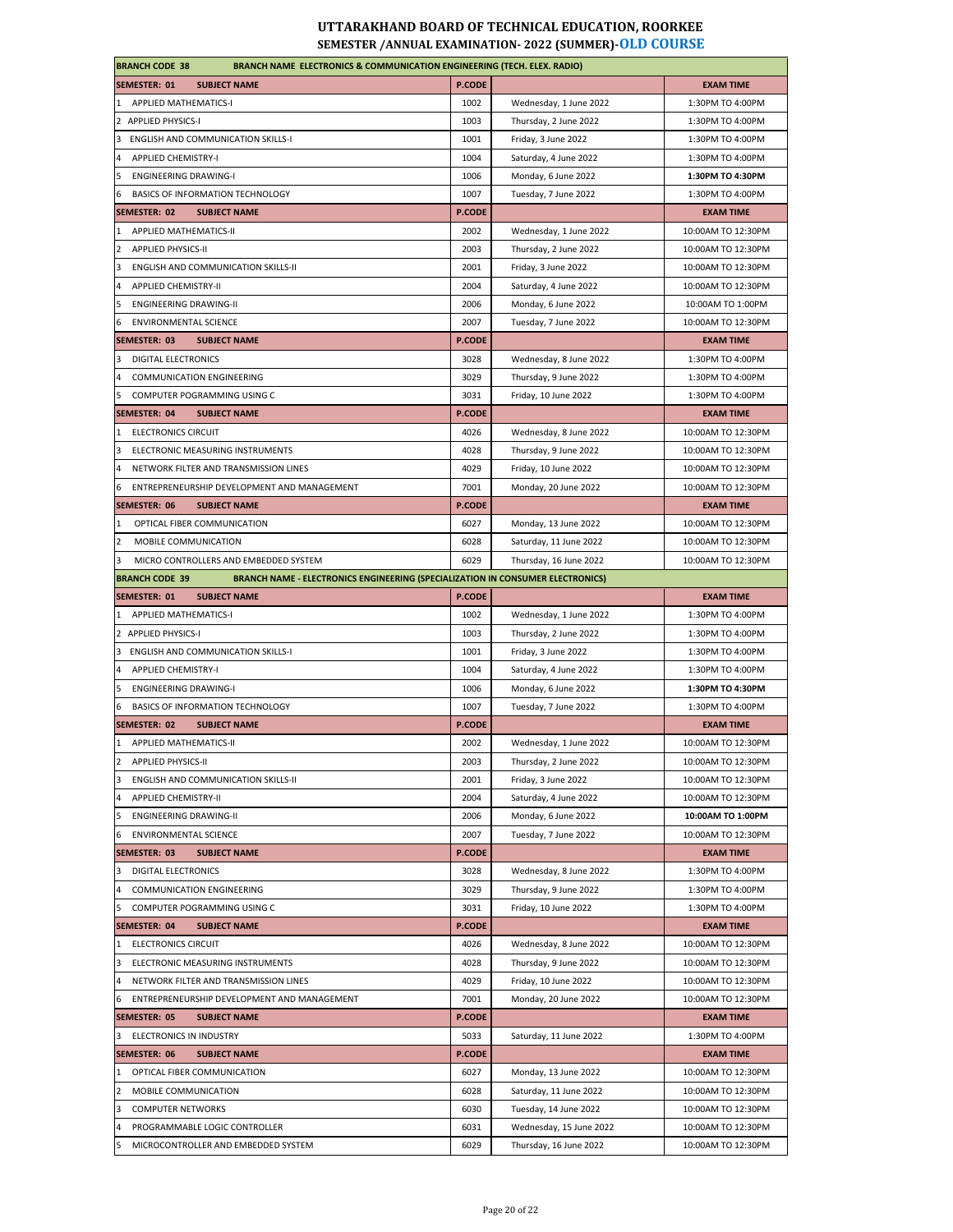| <b>BRANCH CODE 38</b><br><b>BRANCH NAME ELECTRONICS &amp; COMMUNICATION ENGINEERING (TECH. ELEX. RADIO)</b>    |               |                         |                    |
|----------------------------------------------------------------------------------------------------------------|---------------|-------------------------|--------------------|
| <b>SEMESTER: 01</b><br><b>SUBJECT NAME</b>                                                                     | P.CODE        |                         | <b>EXAM TIME</b>   |
| 1 APPLIED MATHEMATICS-I                                                                                        | 1002          | Wednesday, 1 June 2022  | 1:30PM TO 4:00PM   |
| 2 APPLIED PHYSICS-I                                                                                            | 1003          | Thursday, 2 June 2022   | 1:30PM TO 4:00PM   |
| 3 ENGLISH AND COMMUNICATION SKILLS-I                                                                           | 1001          | Friday, 3 June 2022     | 1:30PM TO 4:00PM   |
| <b>APPLIED CHEMISTRY-I</b><br>4                                                                                | 1004          | Saturday, 4 June 2022   | 1:30PM TO 4:00PM   |
| <b>ENGINEERING DRAWING-I</b><br>5                                                                              | 1006          | Monday, 6 June 2022     | 1:30PM TO 4:30PM   |
| BASICS OF INFORMATION TECHNOLOGY<br>6                                                                          | 1007          | Tuesday, 7 June 2022    | 1:30PM TO 4:00PM   |
| SEMESTER: 02<br><b>SUBJECT NAME</b>                                                                            | <b>P.CODE</b> |                         | <b>EXAM TIME</b>   |
| APPLIED MATHEMATICS-II                                                                                         | 2002          | Wednesday, 1 June 2022  | 10:00AM TO 12:30PM |
| $\overline{2}$<br><b>APPLIED PHYSICS-II</b>                                                                    | 2003          | Thursday, 2 June 2022   | 10:00AM TO 12:30PM |
| 3<br>ENGLISH AND COMMUNICATION SKILLS-II                                                                       | 2001          | Friday, 3 June 2022     | 10:00AM TO 12:30PM |
| <b>APPLIED CHEMISTRY-II</b>                                                                                    | 2004          | Saturday, 4 June 2022   | 10:00AM TO 12:30PM |
| 5<br><b>ENGINEERING DRAWING-II</b>                                                                             | 2006          | Monday, 6 June 2022     | 10:00AM TO 1:00PM  |
| <b>ENVIRONMENTAL SCIENCE</b><br>6                                                                              | 2007          | Tuesday, 7 June 2022    | 10:00AM TO 12:30PM |
| <b>SEMESTER: 03</b><br><b>SUBJECT NAME</b>                                                                     | <b>P.CODE</b> |                         | <b>EXAM TIME</b>   |
| DIGITAL ELECTRONICS<br>3                                                                                       | 3028          | Wednesday, 8 June 2022  | 1:30PM TO 4:00PM   |
| <b>COMMUNICATION ENGINEERING</b><br>4                                                                          | 3029          | Thursday, 9 June 2022   | 1:30PM TO 4:00PM   |
|                                                                                                                | 3031          |                         | 1:30PM TO 4:00PM   |
| COMPUTER POGRAMMING USING C<br>5<br><b>SEMESTER: 04</b><br><b>SUBJECT NAME</b>                                 | <b>P.CODE</b> | Friday, 10 June 2022    | <b>EXAM TIME</b>   |
| 1 ELECTRONICS CIRCUIT                                                                                          |               |                         |                    |
|                                                                                                                | 4026          | Wednesday, 8 June 2022  | 10:00AM TO 12:30PM |
| ELECTRONIC MEASURING INSTRUMENTS<br>3                                                                          | 4028          | Thursday, 9 June 2022   | 10:00AM TO 12:30PM |
| NETWORK FILTER AND TRANSMISSION LINES                                                                          | 4029          | Friday, 10 June 2022    | 10:00AM TO 12:30PM |
| ENTREPRENEURSHIP DEVELOPMENT AND MANAGEMENT<br>6                                                               | 7001          | Monday, 20 June 2022    | 10:00AM TO 12:30PM |
| <b>SEMESTER: 06</b><br><b>SUBJECT NAME</b>                                                                     | P.CODE        |                         | <b>EXAM TIME</b>   |
| OPTICAL FIBER COMMUNICATION                                                                                    | 6027          | Monday, 13 June 2022    | 10:00AM TO 12:30PM |
| MOBILE COMMUNICATION<br>2                                                                                      | 6028          | Saturday, 11 June 2022  | 10:00AM TO 12:30PM |
| MICRO CONTROLLERS AND EMBEDDED SYSTEM<br>3                                                                     | 6029          | Thursday, 16 June 2022  | 10:00AM TO 12:30PM |
| <b>BRANCH NAME - ELECTRONICS ENGINEERING (SPECIALIZATION IN CONSUMER ELECTRONICS)</b><br><b>BRANCH CODE 39</b> |               |                         |                    |
| <b>SUBJECT NAME</b><br>SEMESTER: 01                                                                            | <b>P.CODE</b> |                         | <b>EXAM TIME</b>   |
| 1 APPLIED MATHEMATICS-I                                                                                        | 1002          | Wednesday, 1 June 2022  | 1:30PM TO 4:00PM   |
| 2 APPLIED PHYSICS-I                                                                                            | 1003          | Thursday, 2 June 2022   | 1:30PM TO 4:00PM   |
| 3 ENGLISH AND COMMUNICATION SKILLS-I                                                                           | 1001          | Friday, 3 June 2022     | 1:30PM TO 4:00PM   |
| <b>APPLIED CHEMISTRY-I</b><br>4                                                                                | 1004          | Saturday, 4 June 2022   | 1:30PM TO 4:00PM   |
| <b>ENGINEERING DRAWING-I</b><br>5                                                                              | 1006          | Monday, 6 June 2022     | 1:30PM TO 4:30PM   |
| BASICS OF INFORMATION TECHNOLOGY<br>6                                                                          | 1007          | Tuesday, 7 June 2022    | 1:30PM TO 4:00PM   |
| SEMESTER: 02<br><b>SUBJECT NAME</b>                                                                            | <b>P.CODE</b> |                         | <b>EXAM TIME</b>   |
| APPLIED MATHEMATICS-II<br>$\mathbf{1}$                                                                         | 2002          | Wednesday, 1 June 2022  | 10:00AM TO 12:30PM |
| 2<br><b>APPLIED PHYSICS-II</b>                                                                                 | 2003          | Thursday, 2 June 2022   | 10:00AM TO 12:30PM |
| ENGLISH AND COMMUNICATION SKILLS-II                                                                            | 2001          | Friday, 3 June 2022     | 10:00AM TO 12:30PM |
| 4<br><b>APPLIED CHEMISTRY-II</b>                                                                               | 2004          | Saturday, 4 June 2022   | 10:00AM TO 12:30PM |
| 5<br><b>ENGINEERING DRAWING-II</b>                                                                             | 2006          | Monday, 6 June 2022     | 10:00AM TO 1:00PM  |
| ENVIRONMENTAL SCIENCE<br>6                                                                                     | 2007          | Tuesday, 7 June 2022    | 10:00AM TO 12:30PM |
| SEMESTER: 03<br><b>SUBJECT NAME</b>                                                                            | <b>P.CODE</b> |                         | <b>EXAM TIME</b>   |
| <b>DIGITAL ELECTRONICS</b><br>3                                                                                | 3028          | Wednesday, 8 June 2022  | 1:30PM TO 4:00PM   |
| <b>COMMUNICATION ENGINEERING</b><br>4                                                                          | 3029          | Thursday, 9 June 2022   | 1:30PM TO 4:00PM   |
| COMPUTER POGRAMMING USING C<br>5                                                                               | 3031          | Friday, 10 June 2022    | 1:30PM TO 4:00PM   |
| <b>SUBJECT NAME</b><br><b>SEMESTER: 04</b>                                                                     | <b>P.CODE</b> |                         | <b>EXAM TIME</b>   |
| <b>ELECTRONICS CIRCUIT</b><br>1                                                                                | 4026          | Wednesday, 8 June 2022  | 10:00AM TO 12:30PM |
| 3<br>ELECTRONIC MEASURING INSTRUMENTS                                                                          | 4028          | Thursday, 9 June 2022   | 10:00AM TO 12:30PM |
| NETWORK FILTER AND TRANSMISSION LINES                                                                          | 4029          | Friday, 10 June 2022    | 10:00AM TO 12:30PM |
| 4<br>ENTREPRENEURSHIP DEVELOPMENT AND MANAGEMENT<br>6                                                          | 7001          | Monday, 20 June 2022    | 10:00AM TO 12:30PM |
|                                                                                                                | P.CODE        |                         |                    |
| SEMESTER: 05<br><b>SUBJECT NAME</b>                                                                            |               |                         | <b>EXAM TIME</b>   |
| 3 ELECTRONICS IN INDUSTRY                                                                                      | 5033          | Saturday, 11 June 2022  | 1:30PM TO 4:00PM   |
| SEMESTER: 06<br><b>SUBJECT NAME</b>                                                                            | <b>P.CODE</b> |                         | <b>EXAM TIME</b>   |
| 1 OPTICAL FIBER COMMUNICATION                                                                                  | 6027          | Monday, 13 June 2022    | 10:00AM TO 12:30PM |
| MOBILE COMMUNICATION<br>$\overline{2}$                                                                         | 6028          | Saturday, 11 June 2022  | 10:00AM TO 12:30PM |
| <b>COMPUTER NETWORKS</b><br>3                                                                                  | 6030          | Tuesday, 14 June 2022   | 10:00AM TO 12:30PM |
| PROGRAMMABLE LOGIC CONTROLLER<br>4                                                                             | 6031          | Wednesday, 15 June 2022 | 10:00AM TO 12:30PM |
| MICROCONTROLLER AND EMBEDDED SYSTEM<br>5                                                                       | 6029          | Thursday, 16 June 2022  | 10:00AM TO 12:30PM |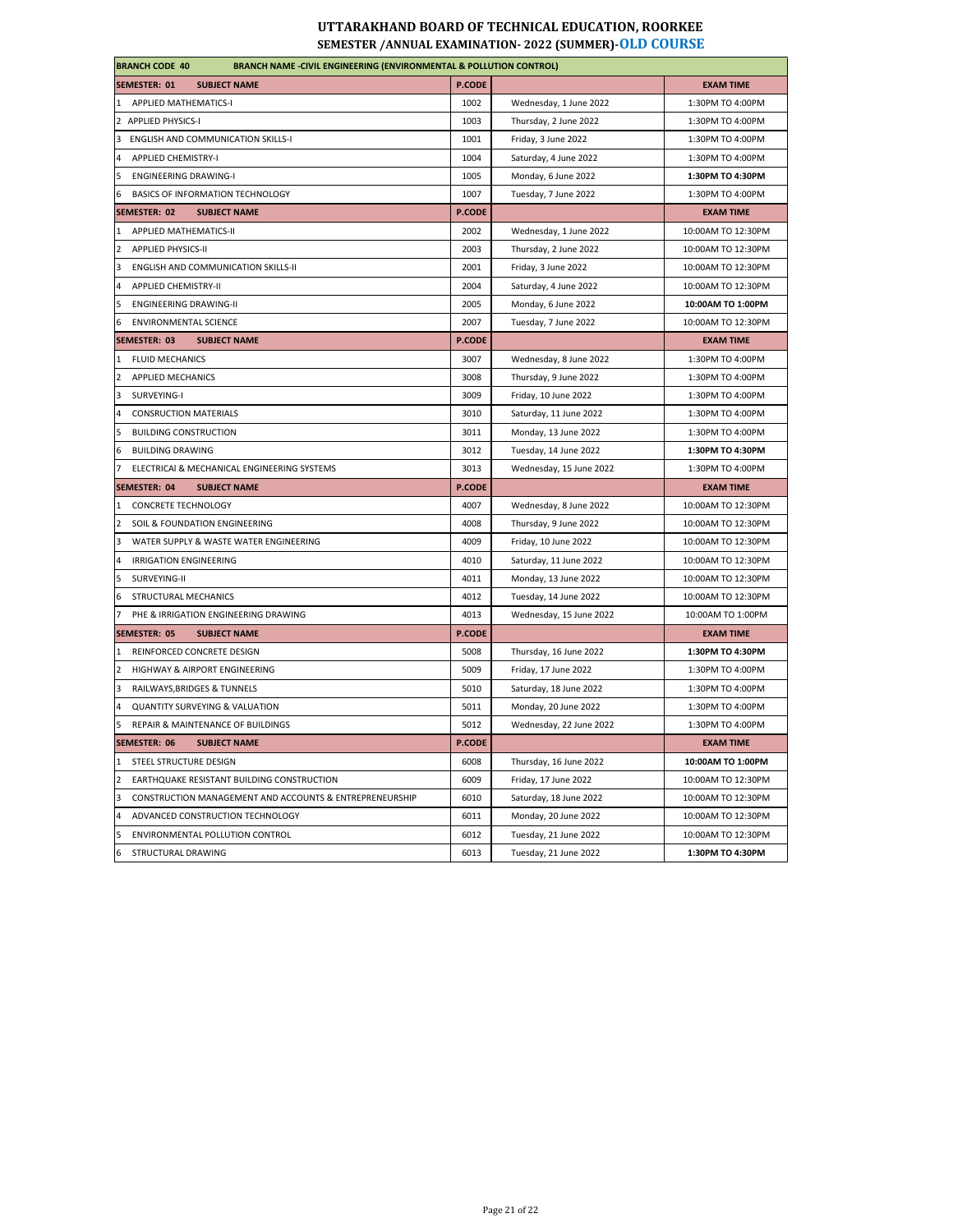| <b>BRANCH CODE 40</b><br><b>BRANCH NAME -CIVIL ENGINEERING (ENVIRONMENTAL &amp; POLLUTION CONTROL)</b> |               |                         |                    |
|--------------------------------------------------------------------------------------------------------|---------------|-------------------------|--------------------|
| <b>SEMESTER: 01</b><br><b>SUBJECT NAME</b>                                                             | <b>P.CODE</b> |                         | <b>EXAM TIME</b>   |
| APPLIED MATHEMATICS-I<br>1                                                                             | 1002          | Wednesday, 1 June 2022  | 1:30PM TO 4:00PM   |
| 2 APPLIED PHYSICS-I                                                                                    | 1003          | Thursday, 2 June 2022   | 1:30PM TO 4:00PM   |
| 3<br><b>ENGLISH AND COMMUNICATION SKILLS-I</b>                                                         | 1001          | Friday, 3 June 2022     | 1:30PM TO 4:00PM   |
| $\overline{4}$<br><b>APPLIED CHEMISTRY-I</b>                                                           | 1004          | Saturday, 4 June 2022   | 1:30PM TO 4:00PM   |
| 5<br><b>ENGINEERING DRAWING-I</b>                                                                      | 1005          | Monday, 6 June 2022     | 1:30PM TO 4:30PM   |
| 6<br>BASICS OF INFORMATION TECHNOLOGY                                                                  | 1007          | Tuesday, 7 June 2022    | 1:30PM TO 4:00PM   |
| SEMESTER: 02<br><b>SUBJECT NAME</b>                                                                    | <b>P.CODE</b> |                         | <b>EXAM TIME</b>   |
| APPLIED MATHEMATICS-II<br>$\mathbf{1}$                                                                 | 2002          | Wednesday, 1 June 2022  | 10:00AM TO 12:30PM |
| APPLIED PHYSICS-II<br>$\overline{2}$                                                                   | 2003          | Thursday, 2 June 2022   | 10:00AM TO 12:30PM |
| $\overline{\mathbf{3}}$<br>ENGLISH AND COMMUNICATION SKILLS-II                                         | 2001          | Friday, 3 June 2022     | 10:00AM TO 12:30PM |
| <b>APPLIED CHEMISTRY-II</b><br>$\overline{a}$                                                          | 2004          | Saturday, 4 June 2022   | 10:00AM TO 12:30PM |
| 5<br><b>ENGINEERING DRAWING-II</b>                                                                     | 2005          | Monday, 6 June 2022     | 10:00AM TO 1:00PM  |
| 6<br><b>ENVIRONMENTAL SCIENCE</b>                                                                      | 2007          | Tuesday, 7 June 2022    | 10:00AM TO 12:30PM |
| SEMESTER: 03<br><b>SUBJECT NAME</b>                                                                    | <b>P.CODE</b> |                         | <b>EXAM TIME</b>   |
| <b>FLUID MECHANICS</b><br>1                                                                            | 3007          | Wednesday, 8 June 2022  | 1:30PM TO 4:00PM   |
| <b>APPLIED MECHANICS</b>                                                                               | 3008          | Thursday, 9 June 2022   | 1:30PM TO 4:00PM   |
| 3<br>SURVEYING-I                                                                                       | 3009          | Friday, 10 June 2022    | 1:30PM TO 4:00PM   |
| $\overline{4}$<br><b>CONSRUCTION MATERIALS</b>                                                         | 3010          | Saturday, 11 June 2022  | 1:30PM TO 4:00PM   |
| <b>BUILDING CONSTRUCTION</b><br>5                                                                      | 3011          | Monday, 13 June 2022    | 1:30PM TO 4:00PM   |
| <b>BUILDING DRAWING</b><br>6                                                                           | 3012          | Tuesday, 14 June 2022   | 1:30PM TO 4:30PM   |
| $\overline{7}$<br>ELECTRICAI & MECHANICAL ENGINEERING SYSTEMS                                          | 3013          | Wednesday, 15 June 2022 | 1:30PM TO 4:00PM   |
| <b>SEMESTER: 04</b><br><b>SUBJECT NAME</b>                                                             | <b>P.CODE</b> |                         | <b>EXAM TIME</b>   |
| <b>CONCRETE TECHNOLOGY</b>                                                                             | 4007          | Wednesday, 8 June 2022  | 10:00AM TO 12:30PM |
| $\overline{2}$<br>SOIL & FOUNDATION ENGINEERING                                                        | 4008          | Thursday, 9 June 2022   | 10:00AM TO 12:30PM |
| WATER SUPPLY & WASTE WATER ENGINEERING<br>3                                                            | 4009          | Friday, 10 June 2022    | 10:00AM TO 12:30PM |
| <b>IRRIGATION ENGINEERING</b><br>$\overline{a}$                                                        | 4010          | Saturday, 11 June 2022  | 10:00AM TO 12:30PM |
| 5<br>SURVEYING-II                                                                                      | 4011          | Monday, 13 June 2022    | 10:00AM TO 12:30PM |
| STRUCTURAL MECHANICS<br>6                                                                              | 4012          | Tuesday, 14 June 2022   | 10:00AM TO 12:30PM |
| PHE & IRRIGATION ENGINEERING DRAWING                                                                   | 4013          | Wednesday, 15 June 2022 | 10:00AM TO 1:00PM  |
| SEMESTER: 05<br><b>SUBJECT NAME</b>                                                                    | <b>P.CODE</b> |                         | <b>EXAM TIME</b>   |
| REINFORCED CONCRETE DESIGN<br>1                                                                        | 5008          | Thursday, 16 June 2022  | 1:30PM TO 4:30PM   |
| HIGHWAY & AIRPORT ENGINEERING<br>$\overline{2}$                                                        | 5009          | Friday, 17 June 2022    | 1:30PM TO 4:00PM   |
| $\overline{\mathbf{3}}$<br>RAILWAYS, BRIDGES & TUNNELS                                                 | 5010          | Saturday, 18 June 2022  | 1:30PM TO 4:00PM   |
| 4<br><b>QUANTITY SURVEYING &amp; VALUATION</b>                                                         | 5011          | Monday, 20 June 2022    | 1:30PM TO 4:00PM   |
| 5<br>REPAIR & MAINTENANCE OF BUILDINGS                                                                 | 5012          | Wednesday, 22 June 2022 | 1:30PM TO 4:00PM   |
| <b>SUBJECT NAME</b><br>SEMESTER: 06                                                                    | P.CODE        |                         | <b>EXAM TIME</b>   |
| STEEL STRUCTURE DESIGN<br>1                                                                            | 6008          | Thursday, 16 June 2022  | 10:00AM TO 1:00PM  |
| $\overline{2}$<br>EARTHQUAKE RESISTANT BUILDING CONSTRUCTION                                           | 6009          | Friday, 17 June 2022    | 10:00AM TO 12:30PM |
| CONSTRUCTION MANAGEMENT AND ACCOUNTS & ENTREPRENEURSHIP<br>3                                           | 6010          | Saturday, 18 June 2022  | 10:00AM TO 12:30PM |
| $\overline{4}$<br>ADVANCED CONSTRUCTION TECHNOLOGY                                                     | 6011          | Monday, 20 June 2022    | 10:00AM TO 12:30PM |
| 5<br>ENVIRONMENTAL POLLUTION CONTROL                                                                   | 6012          | Tuesday, 21 June 2022   | 10:00AM TO 12:30PM |
| STRUCTURAL DRAWING<br>6                                                                                | 6013          | Tuesday, 21 June 2022   | 1:30PM TO 4:30PM   |